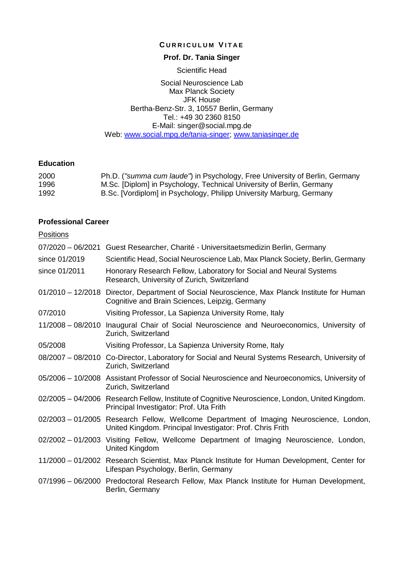### **C URRICULUM V ITAE**

# **Prof. Dr. Tania Singer**

#### Scientific Head

Social Neuroscience Lab Max Planck Society JFK House Bertha-Benz-Str. 3, 10557 Berlin, Germany Tel.: +49 30 2360 8150 E-Mail: singer@social.mpg.de Web: [www.social.mpg.de/tania-singer](http://www.social.mpg.de/tania-singer); [www.taniasinger.de](http://www.taniasinger.de/)

# **Education**

| 2000 | Ph.D. ("summa cum laude") in Psychology, Free University of Berlin, Germany |
|------|-----------------------------------------------------------------------------|
| 1996 | M.Sc. [Diplom] in Psychology, Technical University of Berlin, Germany       |
| 1992 | B.Sc. [Vordiplom] in Psychology, Philipp University Marburg, Germany        |

# **Professional Career**

| <b>Positions</b>    |                                                                                                                                                      |
|---------------------|------------------------------------------------------------------------------------------------------------------------------------------------------|
|                     | 07/2020 - 06/2021 Guest Researcher, Charité - Universitaetsmedizin Berlin, Germany                                                                   |
| since 01/2019       | Scientific Head, Social Neuroscience Lab, Max Planck Society, Berlin, Germany                                                                        |
| since 01/2011       | Honorary Research Fellow, Laboratory for Social and Neural Systems<br>Research, University of Zurich, Switzerland                                    |
|                     | 01/2010 - 12/2018 Director, Department of Social Neuroscience, Max Planck Institute for Human<br>Cognitive and Brain Sciences, Leipzig, Germany      |
| 07/2010             | Visiting Professor, La Sapienza University Rome, Italy                                                                                               |
| 11/2008 - 08/2010   | Inaugural Chair of Social Neuroscience and Neuroeconomics, University of<br>Zurich, Switzerland                                                      |
| 05/2008             | Visiting Professor, La Sapienza University Rome, Italy                                                                                               |
|                     | 08/2007 - 08/2010 Co-Director, Laboratory for Social and Neural Systems Research, University of<br>Zurich, Switzerland                               |
|                     | 05/2006 - 10/2008 Assistant Professor of Social Neuroscience and Neuroeconomics, University of<br>Zurich, Switzerland                                |
|                     | 02/2005 - 04/2006 Research Fellow, Institute of Cognitive Neuroscience, London, United Kingdom.<br>Principal Investigator: Prof. Uta Frith           |
|                     | 02/2003 - 01/2005 Research Fellow, Wellcome Department of Imaging Neuroscience, London,<br>United Kingdom. Principal Investigator: Prof. Chris Frith |
|                     | 02/2002 - 01/2003 Visiting Fellow, Wellcome Department of Imaging Neuroscience, London,<br>United Kingdom                                            |
|                     | 11/2000 - 01/2002 Research Scientist, Max Planck Institute for Human Development, Center for<br>Lifespan Psychology, Berlin, Germany                 |
| $07/1996 - 06/2000$ | Predoctoral Research Fellow, Max Planck Institute for Human Development,<br>Berlin, Germany                                                          |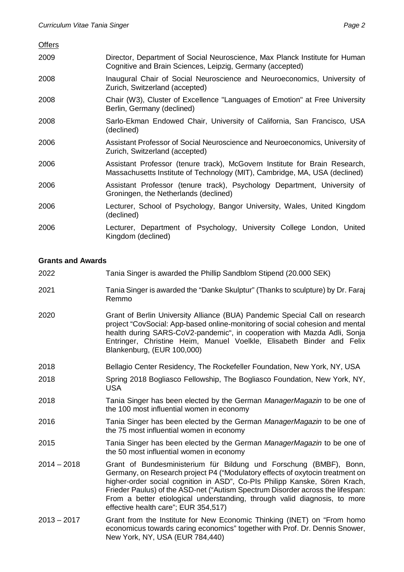| <b>Offers</b> |                                                                                                                                                          |
|---------------|----------------------------------------------------------------------------------------------------------------------------------------------------------|
| 2009          | Director, Department of Social Neuroscience, Max Planck Institute for Human<br>Cognitive and Brain Sciences, Leipzig, Germany (accepted)                 |
| 2008          | Inaugural Chair of Social Neuroscience and Neuroeconomics, University of<br>Zurich, Switzerland (accepted)                                               |
| 2008          | Chair (W3), Cluster of Excellence "Languages of Emotion" at Free University<br>Berlin, Germany (declined)                                                |
| 2008          | Sarlo-Ekman Endowed Chair, University of California, San Francisco, USA<br>(declined)                                                                    |
| 2006          | Assistant Professor of Social Neuroscience and Neuroeconomics, University of<br>Zurich, Switzerland (accepted)                                           |
| 2006          | Assistant Professor (tenure track), McGovern Institute for Brain Research,<br>Massachusetts Institute of Technology (MIT), Cambridge, MA, USA (declined) |
| 2006          | Assistant Professor (tenure track), Psychology Department, University of<br>Groningen, the Netherlands (declined)                                        |
| 2006          | Lecturer, School of Psychology, Bangor University, Wales, United Kingdom<br>(declined)                                                                   |
| 2006          | Lecturer, Department of Psychology, University College London, United<br>Kingdom (declined)                                                              |

# **Grants and Awards**

| 2022          | Tania Singer is awarded the Phillip Sandblom Stipend (20.000 SEK)                                                                                                                                                                                                                                                                                                                                                                        |
|---------------|------------------------------------------------------------------------------------------------------------------------------------------------------------------------------------------------------------------------------------------------------------------------------------------------------------------------------------------------------------------------------------------------------------------------------------------|
| 2021          | Tania Singer is awarded the "Danke Skulptur" (Thanks to sculpture) by Dr. Faraj<br>Remmo                                                                                                                                                                                                                                                                                                                                                 |
| 2020          | Grant of Berlin University Alliance (BUA) Pandemic Special Call on research<br>project "CovSocial: App-based online-monitoring of social cohesion and mental<br>health during SARS-CoV2-pandemic", in cooperation with Mazda Adli, Sonja<br>Entringer, Christine Heim, Manuel Voelkle, Elisabeth Binder and Felix<br>Blankenburg, (EUR 100,000)                                                                                          |
| 2018          | Bellagio Center Residency, The Rockefeller Foundation, New York, NY, USA                                                                                                                                                                                                                                                                                                                                                                 |
| 2018          | Spring 2018 Bogliasco Fellowship, The Bogliasco Foundation, New York, NY,<br><b>USA</b>                                                                                                                                                                                                                                                                                                                                                  |
| 2018          | Tania Singer has been elected by the German ManagerMagazin to be one of<br>the 100 most influential women in economy                                                                                                                                                                                                                                                                                                                     |
| 2016          | Tania Singer has been elected by the German ManagerMagazin to be one of<br>the 75 most influential women in economy                                                                                                                                                                                                                                                                                                                      |
| 2015          | Tania Singer has been elected by the German ManagerMagazin to be one of<br>the 50 most influential women in economy                                                                                                                                                                                                                                                                                                                      |
| $2014 - 2018$ | Grant of Bundesministerium für Bildung und Forschung (BMBF), Bonn,<br>Germany, on Research project P4 ("Modulatory effects of oxytocin treatment on<br>higher-order social cognition in ASD", Co-PIs Philipp Kanske, Sören Krach,<br>Frieder Paulus) of the ASD-net ("Autism Spectrum Disorder across the lifespan:<br>From a better etiological understanding, through valid diagnosis, to more<br>effective health care"; EUR 354,517) |
| $2013 - 2017$ | Grant from the Institute for New Economic Thinking (INET) on "From homo<br>economicus towards caring economics" together with Prof. Dr. Dennis Snower,<br>New York, NY, USA (EUR 784,440)                                                                                                                                                                                                                                                |
|               |                                                                                                                                                                                                                                                                                                                                                                                                                                          |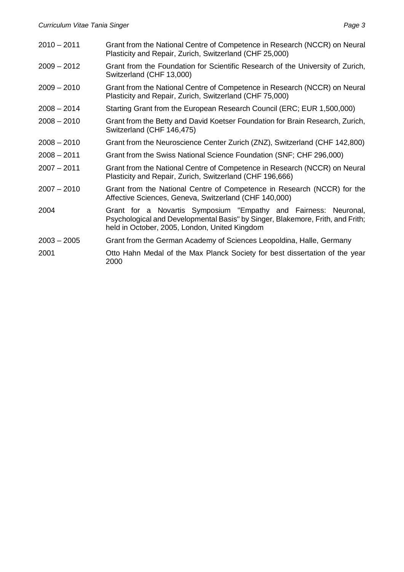| $2010 - 2011$ | Grant from the National Centre of Competence in Research (NCCR) on Neural<br>Plasticity and Repair, Zurich, Switzerland (CHF 25,000)                                                               |
|---------------|----------------------------------------------------------------------------------------------------------------------------------------------------------------------------------------------------|
| $2009 - 2012$ | Grant from the Foundation for Scientific Research of the University of Zurich,<br>Switzerland (CHF 13,000)                                                                                         |
| $2009 - 2010$ | Grant from the National Centre of Competence in Research (NCCR) on Neural<br>Plasticity and Repair, Zurich, Switzerland (CHF 75,000)                                                               |
| $2008 - 2014$ | Starting Grant from the European Research Council (ERC; EUR 1,500,000)                                                                                                                             |
| $2008 - 2010$ | Grant from the Betty and David Koetser Foundation for Brain Research, Zurich,<br>Switzerland (CHF 146,475)                                                                                         |
| $2008 - 2010$ | Grant from the Neuroscience Center Zurich (ZNZ), Switzerland (CHF 142,800)                                                                                                                         |
| $2008 - 2011$ | Grant from the Swiss National Science Foundation (SNF; CHF 296,000)                                                                                                                                |
| $2007 - 2011$ | Grant from the National Centre of Competence in Research (NCCR) on Neural<br>Plasticity and Repair, Zurich, Switzerland (CHF 196,666)                                                              |
| $2007 - 2010$ | Grant from the National Centre of Competence in Research (NCCR) for the<br>Affective Sciences, Geneva, Switzerland (CHF 140,000)                                                                   |
| 2004          | Grant for a Novartis Symposium "Empathy and Fairness: Neuronal,<br>Psychological and Developmental Basis" by Singer, Blakemore, Frith, and Frith;<br>held in October, 2005, London, United Kingdom |
| $2003 - 2005$ | Grant from the German Academy of Sciences Leopoldina, Halle, Germany                                                                                                                               |
| 2001          | Otto Hahn Medal of the Max Planck Society for best dissertation of the year<br>2000                                                                                                                |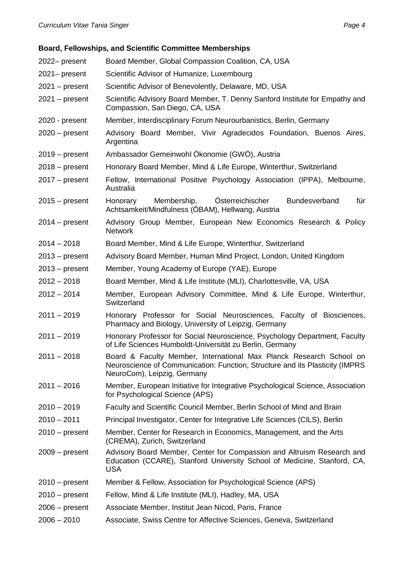# **Board, Fellowships, and Scientific Committee Memberships**

| 2022- present    | Board Member, Global Compassion Coalition, CA, USA                                                                                                                                  |
|------------------|-------------------------------------------------------------------------------------------------------------------------------------------------------------------------------------|
| 2021- present    | Scientific Advisor of Humanize, Luxembourg                                                                                                                                          |
| $2021 - present$ | Scientific Advisor of Benevolently, Delaware, MD, USA                                                                                                                               |
| $2021 - present$ | Scientific Advisory Board Member, T. Denny Sanford Institute for Empathy and<br>Compassion, San Diego, CA, USA                                                                      |
| 2020 - present   | Member, Interdisciplinary Forum Neurourbanistics, Berlin, Germany                                                                                                                   |
| $2020$ – present | Advisory Board Member, Vivir Agradecidos Foundation, Buenos Aires,<br>Argentina                                                                                                     |
| $2019 - present$ | Ambassador Gemeinwohl Ökonomie (GWÖ), Austria                                                                                                                                       |
| $2018 - present$ | Honorary Board Member, Mind & Life Europe, Winterthur, Switzerland                                                                                                                  |
| $2017 - present$ | Fellow, International Positive Psychology Association (IPPA), Melbourne,<br>Australia                                                                                               |
| $2015 - present$ | Membership,<br>Österreichischer<br>Bundesverband<br>für<br>Honorary<br>Achtsamkeit/Mindfulness (ÖBAM), Hellwang, Austria                                                            |
| $2014 - present$ | Advisory Group Member, European New Economics Research & Policy<br><b>Network</b>                                                                                                   |
| $2014 - 2018$    | Board Member, Mind & Life Europe, Winterthur, Switzerland                                                                                                                           |
| $2013 - present$ | Advisory Board Member, Human Mind Project, London, United Kingdom                                                                                                                   |
| $2013 - present$ | Member, Young Academy of Europe (YAE), Europe                                                                                                                                       |
| $2012 - 2018$    | Board Member, Mind & Life Institute (MLI), Charlottesville, VA, USA                                                                                                                 |
| $2012 - 2014$    | Member, European Advisory Committee, Mind & Life Europe, Winterthur,<br>Switzerland                                                                                                 |
| $2011 - 2019$    | Honorary Professor for Social Neurosciences, Faculty of Biosciences,<br>Pharmacy and Biology, University of Leipzig, Germany                                                        |
| $2011 - 2019$    | Honorary Professor for Social Neuroscience, Psychology Department, Faculty<br>of Life Sciences Humboldt-Universität zu Berlin, Germany                                              |
| $2011 - 2018$    | Board & Faculty Member, International Max Planck Research School on<br>Neuroscience of Communication: Function, Structure and its Plasticity (IMPRS)<br>NeuroCom), Leipzig, Germany |
| $2011 - 2016$    | Member, European Initiative for Integrative Psychological Science, Association<br>for Psychological Science (APS)                                                                   |
| $2010 - 2019$    | Faculty and Scientific Council Member, Berlin School of Mind and Brain                                                                                                              |
| $2010 - 2011$    | Principal Investigator, Center for Integrative Life Sciences (CILS), Berlin                                                                                                         |
| $2010 - present$ | Member, Center for Research in Economics, Management, and the Arts<br>(CREMA), Zurich, Switzerland                                                                                  |
| $2009 - present$ | Advisory Board Member, Center for Compassion and Altruism Research and<br>Education (CCARE), Stanford University School of Medicine, Stanford, CA,<br><b>USA</b>                    |
| $2010 - present$ | Member & Fellow, Association for Psychological Science (APS)                                                                                                                        |
| $2010 - present$ | Fellow, Mind & Life Institute (MLI), Hadley, MA, USA                                                                                                                                |
| $2006 - present$ | Associate Member, Institut Jean Nicod, Paris, France                                                                                                                                |
| $2006 - 2010$    | Associate, Swiss Centre for Affective Sciences, Geneva, Switzerland                                                                                                                 |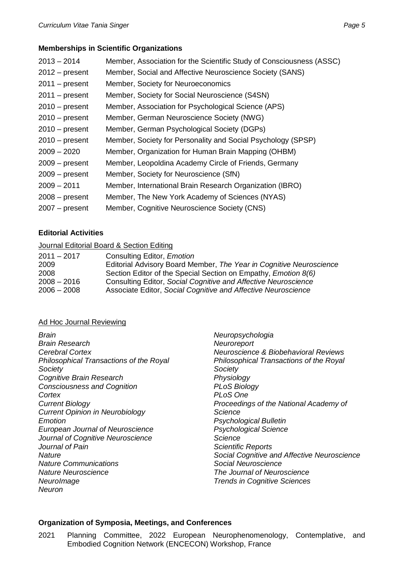# **Memberships in Scientific Organizations**

| $2013 - 2014$    | Member, Association for the Scientific Study of Consciousness (ASSC) |
|------------------|----------------------------------------------------------------------|
| $2012 - present$ | Member, Social and Affective Neuroscience Society (SANS)             |
| $2011 - present$ | Member, Society for Neuroeconomics                                   |
| $2011 - present$ | Member, Society for Social Neuroscience (S4SN)                       |
| $2010 - present$ | Member, Association for Psychological Science (APS)                  |
| $2010 - present$ | Member, German Neuroscience Society (NWG)                            |
| $2010 - present$ | Member, German Psychological Society (DGPs)                          |
| $2010 - present$ | Member, Society for Personality and Social Psychology (SPSP)         |
| $2009 - 2020$    | Member, Organization for Human Brain Mapping (OHBM)                  |
| $2009 - present$ | Member, Leopoldina Academy Circle of Friends, Germany                |
| $2009 - present$ | Member, Society for Neuroscience (SfN)                               |
| $2009 - 2011$    | Member, International Brain Research Organization (IBRO)             |
| $2008 - present$ | Member, The New York Academy of Sciences (NYAS)                      |
| $2007 - present$ | Member, Cognitive Neuroscience Society (CNS)                         |
|                  |                                                                      |

# **Editorial Activities**

### Journal Editorial Board & Section Editing

| $2011 - 2017$ | Consulting Editor, <i>Emotion</i>                                     |
|---------------|-----------------------------------------------------------------------|
| 2009          | Editorial Advisory Board Member, The Year in Cognitive Neuroscience   |
| 2008          | Section Editor of the Special Section on Empathy, <i>Emotion 8(6)</i> |
| $2008 - 2016$ | Consulting Editor, Social Cognitive and Affective Neuroscience        |
| $2006 - 2008$ | Associate Editor, Social Cognitive and Affective Neuroscience         |
|               |                                                                       |

### Ad Hoc Journal Reviewing

*Brain Brain Research Cerebral Cortex Philosophical Transactions of the Royal Society Cognitive Brain Research Consciousness and Cognition Cortex Current Biology Current Opinion in Neurobiology Emotion European Journal of Neuroscience Journal of Cognitive Neuroscience Journal of Pain Nature Nature Communications Nature Neuroscience NeuroImage Neuron*

*Neuropsychologia Neuroreport Neuroscience & Biobehavioral Reviews Philosophical Transactions of the Royal Society Physiology PLoS Biology PLoS One Proceedings of the National Academy of Science Psychological Bulletin Psychological Science Science Scientific Reports Social Cognitive and Affective Neuroscience Social Neuroscience The Journal of Neuroscience Trends in Cognitive Sciences*

### **Organization of Symposia, Meetings, and Conferences**

2021 Planning Committee, 2022 European Neurophenomenology, Contemplative, and Embodied Cognition Network (ENCECON) Workshop, France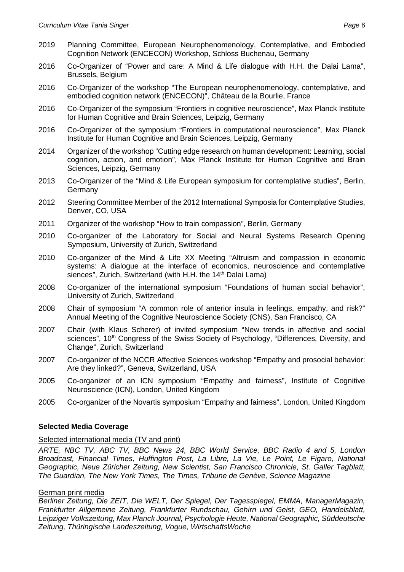- 2019 Planning Committee, European Neurophenomenology, Contemplative, and Embodied Cognition Network (ENCECON) Workshop, Schloss Buchenau, Germany
- 2016 Co-Organizer of "Power and care: A Mind & Life dialogue with H.H. the Dalai Lama", Brussels, Belgium
- 2016 Co-Organizer of the workshop "The European neurophenomenology, contemplative, and embodied cognition network (ENCECON)", Château de la Bourlie, France
- 2016 Co-Organizer of the symposium "Frontiers in cognitive neuroscience", Max Planck Institute for Human Cognitive and Brain Sciences, Leipzig, Germany
- 2016 Co-Organizer of the symposium "Frontiers in computational neuroscience", Max Planck Institute for Human Cognitive and Brain Sciences, Leipzig, Germany
- 2014 Organizer of the workshop "Cutting edge research on human development: Learning, social cognition, action, and emotion", Max Planck Institute for Human Cognitive and Brain Sciences, Leipzig, Germany
- 2013 Co-Organizer of the "Mind & Life European symposium for contemplative studies", Berlin, **Germany**
- 2012 Steering Committee Member of the 2012 International Symposia for Contemplative Studies, Denver, CO, USA
- 2011 Organizer of the workshop "How to train compassion", Berlin, Germany
- 2010 Co-organizer of the Laboratory for Social and Neural Systems Research Opening Symposium, University of Zurich, Switzerland
- 2010 Co-organizer of the Mind & Life XX Meeting "Altruism and compassion in economic systems: A dialogue at the interface of economics, neuroscience and contemplative siences", Zurich, Switzerland (with H.H. the 14<sup>th</sup> Dalai Lama)
- 2008 Co-organizer of the international symposium "Foundations of human social behavior", University of Zurich, Switzerland
- 2008 Chair of symposium "A common role of anterior insula in feelings, empathy, and risk?" Annual Meeting of the Cognitive Neuroscience Society (CNS), San Francisco, CA
- 2007 Chair (with Klaus Scherer) of invited symposium "New trends in affective and social sciences", 10<sup>th</sup> Congress of the Swiss Society of Psychology, "Differences, Diversity, and Change", Zurich, Switzerland
- 2007 Co-organizer of the NCCR Affective Sciences workshop "Empathy and prosocial behavior: Are they linked?", Geneva, Switzerland, USA
- 2005 Co-organizer of an ICN symposium "Empathy and fairness", Institute of Cognitive Neuroscience (ICN), London, United Kingdom
- 2005 Co-organizer of the Novartis symposium "Empathy and fairness", London, United Kingdom

### **Selected Media Coverage**

#### Selected international media (TV and print)

*ARTE, NBC TV, ABC TV, BBC News 24, BBC World Service, BBC Radio 4 and 5, London Broadcast, Financial Times, Huffington Post, La Libre, La Vie, Le Point, Le Figaro*, *National Geographic, Neue Züricher Zeitung, New Scientist, San Francisco Chronicle*, *St. Galler Tagblatt, The Guardian, The New York Times, The Times, Tribune de Genève, Science Magazine*

#### German print media

*Berliner Zeitung, Die ZEIT, Die WELT, Der Spiegel, Der Tagesspiegel, EMMA, ManagerMagazin, Frankfurter Allgemeine Zeitung, Frankfurter Rundschau, Gehirn und Geist, GEO, Handelsblatt, Leipziger Volkszeitung, Max Planck Journal, Psychologie Heute, National Geographic, Süddeutsche Zeitung, Thüringische Landeszeitung, Vogue, WirtschaftsWoche*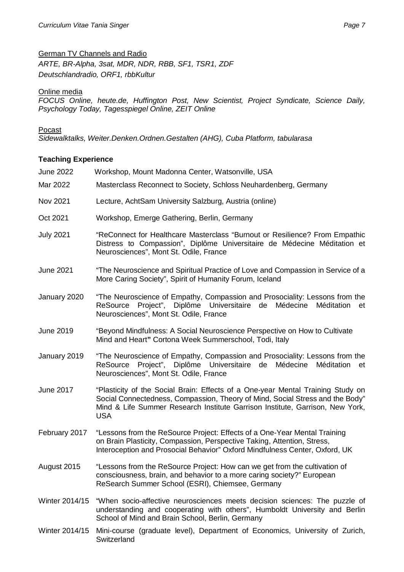# German TV Channels and Radio

*ARTE, BR-Alpha, 3sat, MDR, NDR, RBB, SF1, TSR1, ZDF Deutschlandradio, ORF1, rbbKultur*

### Online media

*FOCUS Online, heute.de, Huffington Post, New Scientist, Project Syndicate, Science Daily, Psychology Today, Tagesspiegel Online, ZEIT Online*

### **Pocast**

*Sidewalktalks, Weiter.Denken.Ordnen.Gestalten (AHG), Cuba Platform, tabularasa*

# **Teaching Experience**

| <b>June 2022</b> | Workshop, Mount Madonna Center, Watsonville, USA                                                                                                                                                                                                                |  |
|------------------|-----------------------------------------------------------------------------------------------------------------------------------------------------------------------------------------------------------------------------------------------------------------|--|
| Mar 2022         | Masterclass Reconnect to Society, Schloss Neuhardenberg, Germany                                                                                                                                                                                                |  |
| Nov 2021         | Lecture, AchtSam University Salzburg, Austria (online)                                                                                                                                                                                                          |  |
| Oct 2021         | Workshop, Emerge Gathering, Berlin, Germany                                                                                                                                                                                                                     |  |
| <b>July 2021</b> | "ReConnect for Healthcare Masterclass "Burnout or Resilience? From Empathic<br>Distress to Compassion", Diplôme Universitaire de Médecine Méditation et<br>Neurosciences", Mont St. Odile, France                                                               |  |
| <b>June 2021</b> | "The Neuroscience and Spiritual Practice of Love and Compassion in Service of a<br>More Caring Society", Spirit of Humanity Forum, Iceland                                                                                                                      |  |
| January 2020     | "The Neuroscience of Empathy, Compassion and Prosociality: Lessons from the<br>ReSource Project", Diplôme Universitaire de<br>Médecine<br>Méditation<br>et<br>Neurosciences", Mont St. Odile, France                                                            |  |
| June 2019        | "Beyond Mindfulness: A Social Neuroscience Perspective on How to Cultivate<br>Mind and Heart" Cortona Week Summerschool, Todi, Italy                                                                                                                            |  |
| January 2019     | "The Neuroscience of Empathy, Compassion and Prosociality: Lessons from the<br>ReSource Project", Diplôme Universitaire de Médecine<br>Méditation<br>et<br>Neurosciences", Mont St. Odile, France                                                               |  |
| <b>June 2017</b> | "Plasticity of the Social Brain: Effects of a One-year Mental Training Study on<br>Social Connectedness, Compassion, Theory of Mind, Social Stress and the Body"<br>Mind & Life Summer Research Institute Garrison Institute, Garrison, New York,<br><b>USA</b> |  |
| February 2017    | "Lessons from the ReSource Project: Effects of a One-Year Mental Training<br>on Brain Plasticity, Compassion, Perspective Taking, Attention, Stress,<br>Interoception and Prosocial Behavior" Oxford Mindfulness Center, Oxford, UK                             |  |
| August 2015      | "Lessons from the ReSource Project: How can we get from the cultivation of<br>consciousness, brain, and behavior to a more caring society?" European<br>ReSearch Summer School (ESRI), Chiemsee, Germany                                                        |  |
| Winter 2014/15   | "When socio-affective neurosciences meets decision sciences: The puzzle of<br>understanding and cooperating with others", Humboldt University and Berlin<br>School of Mind and Brain School, Berlin, Germany                                                    |  |

Winter 2014/15 Mini-course (graduate level), Department of Economics, University of Zurich, **Switzerland**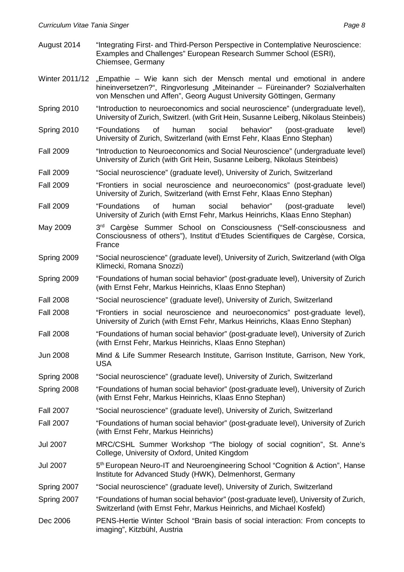- August 2014 "Integrating First- and Third-Person Perspective in Contemplative Neuroscience: Examples and Challenges" European Research Summer School (ESRI), Chiemsee, Germany
- Winter 2011/12 "Empathie Wie kann sich der Mensch mental und emotional in andere hineinversetzen?", Ringvorlesung "Miteinander – Füreinander? Sozialverhalten von Menschen und Affen", Georg August University Göttingen, Germany
- Spring 2010 "Introduction to neuroeconomics and social neuroscience" (undergraduate level), University of Zurich, Switzerl. (with Grit Hein, Susanne Leiberg, Nikolaus Steinbeis)
- Spring 2010 "Foundations of human social behavior" (post-graduate level) University of Zurich, Switzerland (with Ernst Fehr, Klaas Enno Stephan)
- Fall 2009 "Introduction to Neuroeconomics and Social Neuroscience" (undergraduate level) University of Zurich (with Grit Hein, Susanne Leiberg, Nikolaus Steinbeis)
- Fall 2009 "Social neuroscience" (graduate level), University of Zurich, Switzerland
- Fall 2009 "Frontiers in social neuroscience and neuroeconomics" (post-graduate level) University of Zurich, Switzerland (with Ernst Fehr, Klaas Enno Stephan)
- Fall 2009 "Foundations of human social behavior" (post-graduate level) University of Zurich (with Ernst Fehr, Markus Heinrichs, Klaas Enno Stephan)
- May 2009 3<sup>rd</sup> Cargèse Summer School on Consciousness ("Self-consciousness and Consciousness of others"), Institut d'Etudes Scientifiques de Cargèse, Corsica, France
- Spring 2009 "Social neuroscience" (graduate level), University of Zurich, Switzerland (with Olga Klimecki, Romana Snozzi)
- Spring 2009 "Foundations of human social behavior" (post-graduate level), University of Zurich (with Ernst Fehr, Markus Heinrichs, Klaas Enno Stephan)
- Fall 2008 "Social neuroscience" (graduate level), University of Zurich, Switzerland
- Fall 2008 "Frontiers in social neuroscience and neuroeconomics" post-graduate level), University of Zurich (with Ernst Fehr, Markus Heinrichs, Klaas Enno Stephan)
- Fall 2008 "Foundations of human social behavior" (post-graduate level), University of Zurich (with Ernst Fehr, Markus Heinrichs, Klaas Enno Stephan)
- Jun 2008 Mind & Life Summer Research Institute, Garrison Institute, Garrison, New York, USA
- Spring 2008 "Social neuroscience" (graduate level), University of Zurich, Switzerland
- Spring 2008 "Foundations of human social behavior" (post-graduate level), University of Zurich (with Ernst Fehr, Markus Heinrichs, Klaas Enno Stephan)
- Fall 2007 "Social neuroscience" (graduate level), University of Zurich, Switzerland
- Fall 2007 "Foundations of human social behavior" (post-graduate level), University of Zurich (with Ernst Fehr, Markus Heinrichs)
- Jul 2007 MRC/CSHL Summer Workshop "The biology of social cognition", St. Anne's College, University of Oxford, United Kingdom
- Jul 2007 5 5<sup>th</sup> European Neuro-IT and Neuroengineering School "Cognition & Action", Hanse Institute for Advanced Study (HWK), Delmenhorst, Germany
- Spring 2007 "Social neuroscience" (graduate level), University of Zurich, Switzerland
- Spring 2007 "Foundations of human social behavior" (post-graduate level), University of Zurich, Switzerland (with Ernst Fehr, Markus Heinrichs, and Michael Kosfeld)
- Dec 2006 PENS-Hertie Winter School "Brain basis of social interaction: From concepts to imaging", Kitzbühl, Austria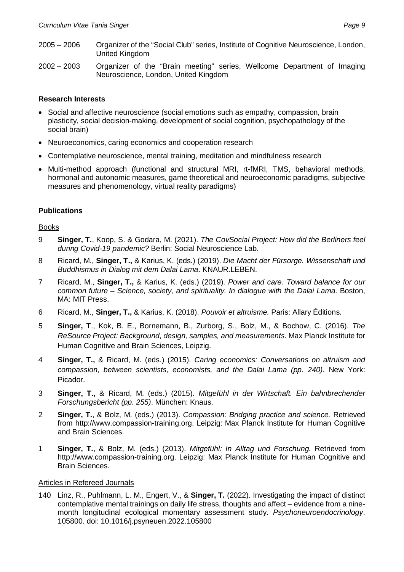- 2005 2006 Organizer of the "Social Club" series, Institute of Cognitive Neuroscience, London, United Kingdom
- 2002 2003 Organizer of the "Brain meeting" series, Wellcome Department of Imaging Neuroscience, London, United Kingdom

### **Research Interests**

- Social and affective neuroscience (social emotions such as empathy, compassion, brain plasticity, social decision-making, development of social cognition, psychopathology of the social brain)
- Neuroeconomics, caring economics and cooperation research
- Contemplative neuroscience, mental training, meditation and mindfulness research
- Multi-method approach (functional and structural MRI, rt-fMRI, TMS, behavioral methods, hormonal and autonomic measures, game theoretical and neuroeconomic paradigms, subjective measures and phenomenology, virtual reality paradigms)

# **Publications**

### Books

- 9 **Singer, T.**, Koop, S. & Godara, M. (2021). *The CovSocial Project: How did the Berliners feel during Covid-19 pandemic?* Berlin: Social Neuroscience Lab.
- 8 Ricard, M., **Singer, T.,** & Karius, K. (eds.) (2019). *Die Macht der Fürsorge. Wissenschaft und Buddhismus in Dialog mit dem Dalai Lama*. KNAUR.LEBEN.
- 7 Ricard, M., **Singer, T.,** & Karius, K. (eds.) (2019). *Power and care. Toward balance for our common future – Science, society, and spirituality. In dialogue with the Dalai Lama*. Boston, MA: MIT Press.
- 6 Ricard, M., **Singer, T.,** & Karius, K. (2018). *Pouvoir et altruisme.* Paris: Allary Éditions.
- 5 **Singer, T**., Kok, B. E., Bornemann, B., Zurborg, S., Bolz, M., & Bochow, C. (2016). *The ReSource Project: Background, design, samples, and measurements*. Max Planck Institute for Human Cognitive and Brain Sciences, Leipzig.
- 4 **Singer, T.,** & Ricard, M. (eds.) (2015). *Caring economics: Conversations on altruism and compassion, between scientists, economists, and the Dalai Lama (pp. 240)*. New York: Picador.
- 3 **Singer, T.,** & Ricard, M. (eds.) (2015). *Mitgefühl in der Wirtschaft. Ein bahnbrechender Forschungsbericht (pp. 255)*. München: Knaus.
- 2 **Singer, T.**, & Bolz, M. (eds.) (2013). *Compassion: Bridging practice and science.* Retrieved from http://www.compassion-training.org. Leipzig: Max Planck Institute for Human Cognitive and Brain Sciences.
- 1 **Singer, T.**, & Bolz, M. (eds.) (2013). *Mitgefühl: In Alltag und Forschung.* Retrieved from http://www.compassion-training.org. Leipzig: Max Planck Institute for Human Cognitive and Brain Sciences.

### Articles in Refereed Journals

140 Linz, R., Puhlmann, L. M., Engert, V., & **Singer, T.** (2022). Investigating the impact of distinct contemplative mental trainings on daily life stress, thoughts and affect – evidence from a ninemonth longitudinal ecological momentary assessment study. *Psychoneuroendocrinology*. 105800. doi: 10.1016/j.psyneuen.2022.105800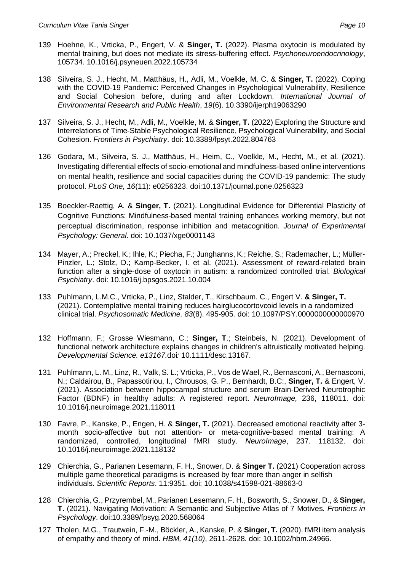- 139 Hoehne, K., Vrticka, P., Engert, V. & **Singer, T.** (2022). Plasma oxytocin is modulated by mental training, but does not mediate its stress-buffering effect. *Psychoneuroendocrinology*, 105734. 10.1016/j.psyneuen.2022.105734
- 138 Silveira, S. J., Hecht, M., Matthäus, H., Adli, M., Voelkle, M. C. & **Singer, T.** (2022). Coping with the COVID-19 Pandemic: Perceived Changes in Psychological Vulnerability, Resilience and Social Cohesion before, during and after Lockdown. *International Journal of Environmental Research and Public Health*, *19*(6). 10.3390/ijerph19063290
- 137 Silveira, S. J., Hecht, M., Adli, M., Voelkle, M. & **Singer, T.** (2022) Exploring the Structure and Interrelations of Time-Stable Psychological Resilience, Psychological Vulnerability, and Social Cohesion. *Frontiers in Psychiatry*. doi: 10.3389/fpsyt.2022.804763
- 136 Godara, M., Silveira, S. J., Matthäus, H., Heim, C., Voelkle, M., Hecht, M., et al. (2021). Investigating differential effects of socio-emotional and mindfulness-based online interventions on mental health, resilience and social capacities during the COVID-19 pandemic: The study protocol. *PLoS One, 16*(11): e0256323. doi:10.1371/journal.pone.0256323
- 135 Boeckler-Raettig, A. & **Singer, T.** (2021). Longitudinal Evidence for Differential Plasticity of Cognitive Functions: Mindfulness-based mental training enhances working memory, but not perceptual discrimination, response inhibition and metacognition. *Journal of Experimental Psychology: General*. doi: 10.1037/xge0001143
- 134 Mayer, A.; Preckel, K.; Ihle, K.; Piecha, F.; Junghanns, K.; Reiche, S.; Rademacher, L.; Müller-Pinzler, L.; Stolz, D.; Kamp-Becker, I. et al. (2021). Assessment of reward-related brain function after a single-dose of oxytocin in autism: a randomized controlled trial. *Biological Psychiatry*. doi: 10.1016/j.bpsgos.2021.10.004
- 133 Puhlmann, L.M.C., Vrticka, P., Linz, Stalder, T., Kirschbaum. C., Engert V. **& Singer, T.** (2021). Contemplative mental training reduces hairglucocortovcoid levels in a randomized clinical trial. *Psychosomatic Medicine. 83*(8). 495-905*.* doi: 10.1097/PSY.0000000000000970
- 132 Hoffmann, F.; Grosse Wiesmann, C.; **Singer, T**.; Steinbeis, N. (2021). Development of functional network architecture explains changes in children's altruistically motivated helping. *Developmental Science. e13167.*doi*:* 10.1111/desc.13167.
- 131 Puhlmann, L. M., Linz, R., Valk, S. L.; Vrticka, P., Vos de Wael, R., Bernasconi, A., Bernasconi, N.; Caldairou, B., Papassotiriou, I., Chrousos, G. P., Bernhardt, B.C:, **Singer, T.** & Engert, V. (2021). Association between hippocampal structure and serum Brain-Derived Neurotrophic Factor (BDNF) in healthy adults: A registered report. *NeuroImage,* 236, 118011. doi: 10.1016/j.neuroimage.2021.118011
- 130 Favre, P., Kanske, P., Engen, H. & **Singer, T.** (2021). Decreased emotional reactivity after 3 month socio-affective but not attention- or meta-cognitive-based mental training: A randomized, controlled, longitudinal fMRI study. *NeuroImage*, 237. 118132. doi: 10.1016/j.neuroimage.2021.118132
- 129 Chierchia, G., Parianen Lesemann, F. H., Snower, D. & **Singer T.** (2021) Cooperation across multiple game theoretical paradigms is increased by fear more than anger in selfish individuals. *Scientific Reports*. 11:9351. doi: 10.1038/s41598-021-88663-0
- 128 Chierchia, G., Przyrembel, M., Parianen Lesemann, F. H., Bosworth, S., Snower, D., & **Singer, T.** (2021). Navigating Motivation: A Semantic and Subjective Atlas of 7 Motives. *Frontiers in Psychology*. doi:10.3389/fpsyg.2020.568064
- 127 Tholen, M.G., Trautwein, F.-M., Böckler, A., Kanske, P. & **Singer, T.** (2020). fMRI item analysis of empathy and theory of mind. *HBM, 41(10)*, 2611-2628. doi: 10.1002/hbm.24966.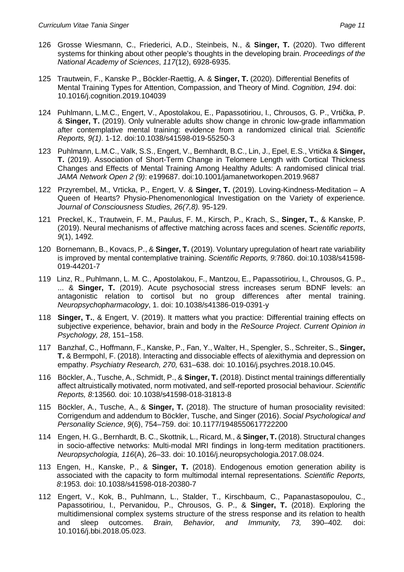- 126 Grosse Wiesmann, C., Friederici, A.D., Steinbeis, N., & **Singer, T.** (2020). Two different systems for thinking about other people's thoughts in the developing brain. *Proceedings of the National Academy of Sciences*, *117*(12), 6928-6935.
- 125 Trautwein, F., Kanske P., Böckler-Raettig, A. & **Singer, T.** (2020). Differential Benefits of Mental Training Types for Attention, Compassion, and Theory of Mind. *Cognition, 194*. doi: 10.1016/j.cognition.2019.104039
- 124 Puhlmann, L.M.C., Engert, V., Apostolakou, E., Papassotiriou, I., Chrousos, G. P., Vrtička, P. & **Singer, T.** (2019). Only vulnerable adults show change in chronic low-grade inflammation after contemplative mental training: evidence from a randomized clinical trial*. Scientific Reports, 9(1)*. 1-12. doi:10.1038/s41598-019-55250-3
- 123 Puhlmann, L.M.C., Valk, S.S., Engert, V., Bernhardt, B.C., Lin, J., Epel, E.S., Vrtička & **Singer, T.** (2019). Association of Short-Term Change in Telomere Length with Cortical Thickness Changes and Effects of Mental Training Among Healthy Adults: A randomised clinical trial. *JAMA Network Open 2 (9)*: e199687. doi:10.1001/jamanetworkopen.2019.9687
- 122 Przyrembel, M., Vrticka, P., Engert, V. & **Singer, T.** (2019). Loving-Kindness-Meditation A Queen of Hearts? Physio-Phenomenonlogical Investigation on the Variety of experience*. Journal of Consciousness Studies, 26(7,8).* 95-129.
- 121 Preckel, K., Trautwein, F. M., Paulus, F. M., Kirsch, P., Krach, S., **Singer, T.**, & Kanske, P. (2019). Neural mechanisms of affective matching across faces and scenes. *Scientific reports*, *9*(1), 1492*.*
- 120 Bornemann, B., Kovacs, P., & **Singer, T.** (2019). Voluntary upregulation of heart rate variability is improved by mental contemplative training. *Scientific Reports, 9:*7860. doi:10.1038/s41598- 019-44201-7
- 119 Linz, R., Puhlmann, L. M. C., Apostolakou, F., Mantzou, E., Papassotiriou, I., Chrousos, G. P., ... & **Singer, T.** (2019). Acute psychosocial stress increases serum BDNF levels: an antagonistic relation to cortisol but no group differences after mental training. *Neuropsychopharmacology*, 1. doi: 10.1038/s41386-019-0391-y
- 118 **Singer, T.**, & Engert, V. (2019). It matters what you practice: Differential training effects on subjective experience, behavior, brain and body in the *ReSource Project*. *Current Opinion in Psychology, 28,* 151–158.
- 117 Banzhaf, C., Hoffmann, F., Kanske, P., Fan, Y., Walter, H., Spengler, S., Schreiter, S., **Singer, T.** & Bermpohl, F. (2018). Interacting and dissociable effects of alexithymia and depression on empathy. *Psychiatry Research, 270,* 631–638. doi: 10.1016/j.psychres.2018.10.045.
- 116 Böckler, A., Tusche, A., Schmidt, P., & **Singer, T.** (2018). Distinct mental trainings differentially affect altruistically motivated, norm motivated, and self-reported prosocial behaviour. *Scientific Reports, 8:*13560*.* doi: 10.1038/s41598-018-31813-8
- 115 Böckler, A., Tusche, A., & **Singer, T.** (2018). The structure of human prosociality revisited: Corrigendum and addendum to Böckler, Tusche, and Singer (2016). *Social Psychological and Personality Science*, *9*(6), 754–759. doi: 10.1177/1948550617722200
- 114 Engen, H. G., Bernhardt, B. C., Skottnik, L., Ricard, M., & **Singer, T.** (2018). Structural changes in socio-affective networks: Multi-modal MRI findings in long-term meditation practitioners. *Neuropsychologia, 116*(A), 26–33. doi: 10.1016/j.neuropsychologia.2017.08.024.
- 113 Engen, H., Kanske, P., & **Singer, T.** (2018). Endogenous emotion generation ability is associated with the capacity to form multimodal internal representations. *Scientific Reports, 8*:1953*.* doi: 10.1038/s41598-018-20380-7
- 112 Engert, V., Kok, B., Puhlmann, L., Stalder, T., Kirschbaum, C., Papanastasopoulou, C., Papassotiriou, I., Pervanidou, P., Chrousos, G. P., & **Singer, T.** (2018). Exploring the multidimensional complex systems structure of the stress response and its relation to health and sleep outcomes. *Brain, Behavior, and Immunity, 73,* 390–402*.* doi: 10.1016/j.bbi.2018.05.023.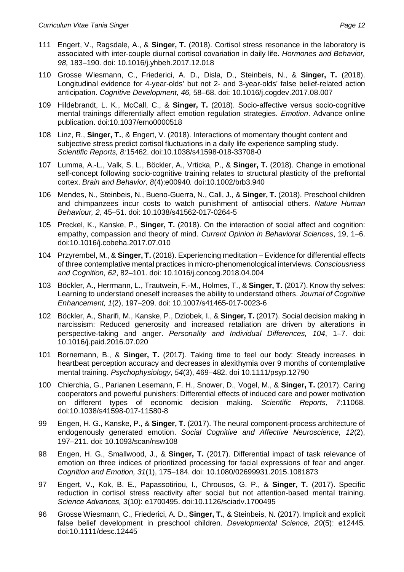- 111 Engert, V., Ragsdale, A., & **Singer, T.** (2018). Cortisol stress resonance in the laboratory is associated with inter-couple diurnal cortisol covariation in daily life. *Hormones and Behavior,* 98, 183-190. doi: 10.1016/j.yhbeh.2017.12.018
- 110 Grosse Wiesmann, C., Friederici, A. D., Disla, D., Steinbeis, N., & **Singer, T.** (2018). Longitudinal evidence for 4-year-olds' but not 2- and 3-year-olds' false belief-related action anticipation. *Cognitive Development, 46,* 58–68. doi: 10.1016/j.cogdev.2017.08.007
- 109 Hildebrandt, L. K., McCall, C., & **Singer, T.** (2018). Socio-affective versus socio-cognitive mental trainings differentially affect emotion regulation strategies. *Emotion*. Advance online publication. doi:10.1037/emo0000518
- 108 Linz, R., **Singer, T.**, & Engert, V. (2018). Interactions of momentary thought content and subjective stress predict cortisol fluctuations in a daily life experience sampling study. *Scientific Reports, 8:*15462. doi:10.1038/s41598-018-33708-0
- 107 Lumma, A.-L., Valk, S. L., Böckler, A., Vrticka, P., & **Singer, T.** (2018). Change in emotional self-concept following socio-cognitive training relates to structural plasticity of the prefrontal cortex. *Brain and Behavior, 8*(4):e00940*.* doi:10.1002/brb3.940
- 106 Mendes, N., Steinbeis, N., Bueno-Guerra, N., Call, J., & **Singer, T.** (2018). Preschool children and chimpanzees incur costs to watch punishment of antisocial others. *Nature Human Behaviour, 2,* 4551. doi: 10.1038/s41562-017-0264-5
- 105 Preckel, K., Kanske, P., **Singer, T.** (2018). On the interaction of social affect and cognition: empathy, compassion and theory of mind. *Current Opinion in Behavioral Sciences*, 19, 1–6. doi:10.1016/j.cobeha.2017.07.010
- 104 Przyrembel, M., & **Singer, T.** (2018). Experiencing meditation Evidence for differential effects of three contemplative mental practices in micro-phenomenological interviews. *Consciousness and Cognition, 62*, 82–101. doi: 10.1016/j.concog.2018.04.004
- 103 Böckler, A., Herrmann, L., Trautwein, F.-M., Holmes, T., & **Singer, T.** (2017). Know thy selves: Learning to understand oneself increases the ability to understand others. *Journal of Cognitive Enhancement, 1*(2), 197209. doi: 10.1007/s41465-017-0023-6
- 102 Böckler, A., Sharifi, M., Kanske, P., Dziobek, I., & **Singer, T.** (2017). Social decision making in narcissism: Reduced generosity and increased retaliation are driven by alterations in perspective-taking and anger. Personality and Individual Differences, 104, 1–7. doi: 10.1016/j.paid.2016.07.020
- 101 Bornemann, B., & **Singer, T.** (2017). Taking time to feel our body: Steady increases in heartbeat perception accuracy and decreases in alexithymia over 9 months of contemplative mental training. *Psychophysiology*, *54*(3), 469482. doi 10.1111/psyp.12790
- 100 Chierchia, G., Parianen Lesemann, F. H., Snower, D., Vogel, M., & **Singer, T.** (2017). Caring cooperators and powerful punishers: Differential effects of induced care and power motivation on different types of economic decision making. *Scientific Reports, 7*:11068. doi:10.1038/s41598-017-11580-8
- 99 Engen, H. G., Kanske, P., & **Singer, T.** (2017). The neural component-process architecture of endogenously generated emotion. *Social Cognitive and Affective Neuroscience, 12*(2), 197211. doi: 10.1093/scan/nsw108
- 98 Engen, H. G., Smallwood, J., & **Singer, T.** (2017). Differential impact of task relevance of emotion on three indices of prioritized processing for facial expressions of fear and anger. *Cognition and Emotion, 31(1), 175-184. doi: 10.1080/02699931.2015.1081873*
- 97 Engert, V., Kok, B. E., Papassotiriou, I., Chrousos, G. P., & **Singer, T.** (2017). Specific reduction in cortisol stress reactivity after social but not attention-based mental training. *Science Advances, 3*(10): e1700495. doi:10.1126/sciadv.1700495
- 96 Grosse Wiesmann, C., Friederici, A. D., **Singer, T.**, & Steinbeis, N. (2017). Implicit and explicit false belief development in preschool children. *Developmental Science, 20*(5): e12445*.* doi:10.1111/desc.12445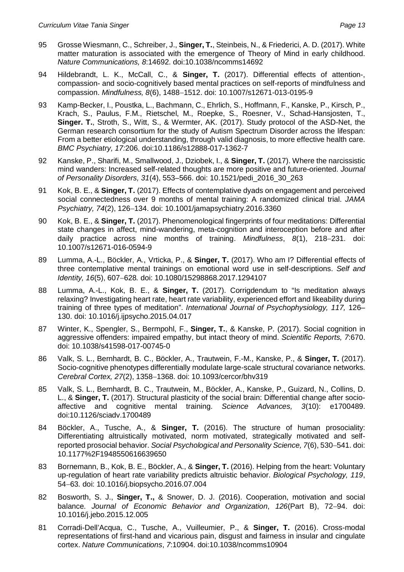- 95 Grosse Wiesmann, C., Schreiber, J., **Singer, T.**, Steinbeis, N., & Friederici, A. D. (2017). White matter maturation is associated with the emergence of Theory of Mind in early childhood. *Nature Communications, 8*:14692. doi:10.1038/ncomms14692
- 94 Hildebrandt, L. K., McCall, C., & **Singer, T.** (2017). Differential effects of attention-, compassion- and socio-cognitively based mental practices on self-reports of mindfulness and compassion. *Mindfulness, 8(6), 1488-1512. doi: 10.1007/s12671-013-0195-9*
- 93 Kamp-Becker, I., Poustka, L., Bachmann, C., Ehrlich, S., Hoffmann, F., Kanske, P., Kirsch, P., Krach, S., Paulus, F.M., Rietschel, M., Roepke, S., Roesner, V., Schad-Hansjosten, T., **Singer. T.**, Stroth, S., Witt, S., & Wermter, AK. (2017). Study protocol of the ASD-Net, the German research consortium for the study of Autism Spectrum Disorder across the lifespan: From a better etiological understanding, through valid diagnosis, to more effective health care. *BMC Psychiatry, 17:*206. doi:10.1186/s12888-017-1362-7
- 92 Kanske, P., Sharifi, M., Smallwood, J., Dziobek, I., & **Singer, T.** (2017). Where the narcissistic mind wanders: Increased self-related thoughts are more positive and future-oriented. *Journal of Personality Disorders, 31*(4), 553–566. doi: 10.1521/pedi\_2016\_30\_263
- 91 Kok, B. E., & **Singer, T.** (2017). Effects of contemplative dyads on engagement and perceived social connectedness over 9 months of mental training: A randomized clinical trial. *JAMA Psychiatry, 74*(2), 126134. doi: 10.1001/jamapsychiatry.2016.3360
- 90 Kok, B. E., & **Singer, T.** (2017). Phenomenological fingerprints of four meditations: Differential state changes in affect, mind-wandering, meta-cognition and interoception before and after daily practice across nine months of training. *Mindfulness*, 8(1), 218–231. doi: 10.1007/s12671-016-0594-9
- 89 Lumma, A.-L., Böckler, A., Vrticka, P., & **Singer, T.** (2017). Who am I? Differential effects of three contemplative mental trainings on emotional word use in self-descriptions. *Self and Identity, 16*(5), 607-628*.* doi: 10.1080/15298868.2017.1294107
- 88 Lumma, A.-L., Kok, B. E., & **Singer, T.** (2017). Corrigdendum to "Is meditation always relaxing? Investigating heart rate, heart rate variability, experienced effort and likeability during training of three types of meditation". *International Journal of Psychophysiology, 117,* 126– 130. doi: 10.1016/j.ijpsycho.2015.04.017
- 87 Winter, K., Spengler, S., Bermpohl, F., **Singer, T.**, & Kanske, P. (2017). Social cognition in aggressive offenders: impaired empathy, but intact theory of mind. *Scientific Reports, 7*:670. doi: 10.1038/s41598-017-00745-0
- 86 Valk, S. L., Bernhardt, B. C., Böckler, A., Trautwein, F.-M., Kanske, P., & **Singer, T.** (2017). Socio-cognitive phenotypes differentially modulate large-scale structural covariance networks. *Cerebral Cortex, 27(2), 1358-1368, doi: 10.1093/cercor/bhv319*
- 85 Valk, S. L., Bernhardt, B. C., Trautwein, M., Böckler, A., Kanske, P., Guizard, N., Collins, D. L., & **Singer, T.** (2017). Structural plasticity of the social brain: Differential change after socioaffective and cognitive mental training. *Science Advances, 3*(10): e1700489. doi:10.1126/sciadv.1700489
- 84 Böckler, A., Tusche, A., & **Singer, T.** (2016). The structure of human prosociality: Differentiating altruistically motivated, norm motivated, strategically motivated and selfreported prosocial behavior. Social Psychological and Personality Science, 7(6), 530-541. doi: 10.1177%2F1948550616639650
- 83 Bornemann, B., Kok, B. E., Böckler, A., & **Singer, T.** (2016). Helping from the heart: Voluntary up-regulation of heart rate variability predicts altruistic behavior. *Biological Psychology, 119*, 5463*.* doi: 10.1016/j.biopsycho.2016.07.004
- 82 Bosworth, S. J., **Singer, T.,** & Snower, D. J. (2016). Cooperation, motivation and social balance. *Journal of Economic Behavior and Organization*, 126(Part B), 72-94. doi: 10.1016/j.jebo.2015.12.005
- 81 Corradi-Dell'Acqua, C., Tusche, A., Vuilleumier, P., & **Singer, T.** (2016). Cross-modal representations of first-hand and vicarious pain, disgust and fairness in insular and cingulate cortex. *Nature Communications*, *7*:10904. doi:10.1038/ncomms10904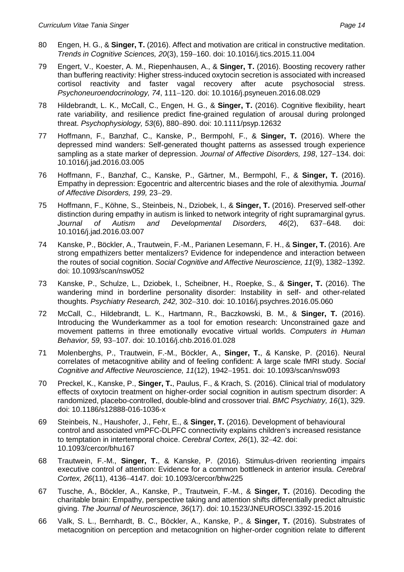- 79 Engert, V., Koester, A. M., Riepenhausen, A., & **Singer, T.** (2016). Boosting recovery rather than buffering reactivity: Higher stress-induced oxytocin secretion is associated with increased cortisol reactivity and faster vagal recovery after acute psychosocial stress. *Psychoneuroendocrinology, 74,* 111-120. doi: 10.1016/j.psyneuen.2016.08.029
- 78 Hildebrandt, L. K., McCall, C., Engen, H. G., & **Singer, T.** (2016). Cognitive flexibility, heart rate variability, and resilience predict fine-grained regulation of arousal during prolonged threat. Psychophysiology, 53(6), 880-890, doi: 10.1111/psyp.12632
- 77 Hoffmann, F., Banzhaf, C., Kanske, P., Bermpohl, F., & **Singer, T.** (2016). Where the depressed mind wanders: Self-generated thought patterns as assessed trough experience sampling as a state marker of depression. *Journal of Affective Disorders, 198, 127–134, doi:* 10.1016/j.jad.2016.03.005
- 76 Hoffmann, F., Banzhaf, C., Kanske, P., Gärtner, M., Bermpohl, F., & **Singer, T.** (2016). Empathy in depression: Egocentric and altercentric biases and the role of alexithymia. *Journal* of Affective Disorders, 199, 23-29.
- 75 Hoffmann, F., Köhne, S., Steinbeis, N., Dziobek, I., & **Singer, T.** (2016). Preserved self-other distinction during empathy in autism is linked to network integrity of right supramarginal gyrus. *Journal of Autism and Developmental Disorders, 46(2), 637–648, doi:* 10.1016/j.jad.2016.03.007
- 74 Kanske, P., Böckler, A., Trautwein, F.-M., Parianen Lesemann, F. H., & **Singer, T.** (2016). Are strong empathizers better mentalizers? Evidence for independence and interaction between the routes of social cognition. Social Cognitive and Affective Neuroscience, 11(9), 1382–1392. doi: 10.1093/scan/nsw052
- 73 Kanske, P., Schulze, L., Dziobek, I., Scheibner, H., Roepke, S., & **Singer, T.** (2016). The wandering mind in borderline personality disorder: Instability in self- and other-related thoughts. *Psychiatry Research, 242,* 302310. doi: 10.1016/j.psychres.2016.05.060
- 72 McCall, C., Hildebrandt, L. K., Hartmann, R., Baczkowski, B. M., & **Singer, T.** (2016). Introducing the Wunderkammer as a tool for emotion research: Unconstrained gaze and movement patterns in three emotionally evocative virtual worlds. *Computers in Human Behavior, 59,* 93107. doi: 10.1016/j.chb.2016.01.028
- 71 Molenberghs, P., Trautwein, F.-M., Böckler, A., **Singer, T.**, & Kanske, P. (2016). Neural correlates of metacognitive ability and of feeling confident: A large scale fMRI study. *Social Cognitive and Affective Neuroscience, 11(12), 1942-1951. doi: 10.1093/scan/nsw093*
- 70 Preckel, K., Kanske, P., **Singer, T.**, Paulus, F., & Krach, S. (2016). Clinical trial of modulatory effects of oxytocin treatment on higher-order social cognition in autism spectrum disorder: A randomized, placebo-controlled, double-blind and crossover trial. *BMC Psychiatry, 16*(1), 329. doi: 10.1186/s12888-016-1036-x
- 69 Steinbeis, N., Haushofer, J., Fehr, E., & **Singer, T.** (2016). Development of behavioural control and associated vmPFC-DLPFC connectivity explains children's increased resistance to temptation in intertemporal choice. *Cerebral Cortex*, 26(1), 32-42. doi: 10.1093/cercor/bhu167
- 68 Trautwein, F.-M., **Singer, T.**, & Kanske, P. (2016). Stimulus-driven reorienting impairs executive control of attention: Evidence for a common bottleneck in anterior insula. *Cerebral Cortex, 26*(11), 41364147. doi: 10.1093/cercor/bhw225
- 67 Tusche, A., Böckler, A., Kanske, P., Trautwein, F.-M., & **Singer, T.** (2016). Decoding the charitable brain: Empathy, perspective taking and attention shifts differentially predict altruistic giving. *The Journal of Neuroscience, 36*(17). doi: 10.1523/JNEUROSCI.3392-15.2016
- 66 Valk, S. L., Bernhardt, B. C., Böckler, A., Kanske, P., & **Singer, T.** (2016). Substrates of metacognition on perception and metacognition on higher-order cognition relate to different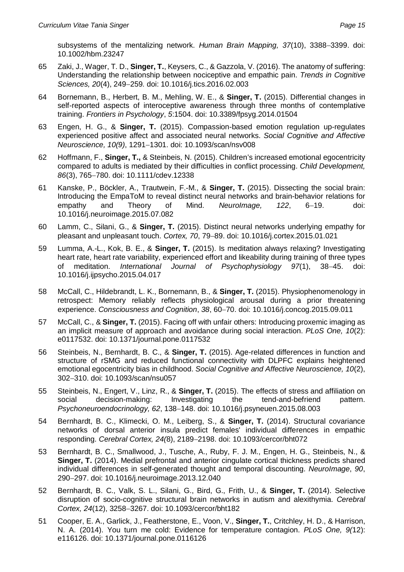- 65 Zaki, J., Wager, T. D., **Singer, T.**, Keysers, C., & Gazzola, V. (2016). The anatomy of suffering: Understanding the relationship between nociceptive and empathic pain. *Trends in Cognitive Sciences, 20*(4), 249-259. doi: 10.1016/j.tics.2016.02.003
- 64 Bornemann, B., Herbert, B. M., Mehling, W. E., & **Singer, T.** (2015). Differential changes in self-reported aspects of interoceptive awareness through three months of contemplative training. *Frontiers in Psychology*, *5*:1504. [doi: 10.3389/fpsyg.2014.01504](http://dx.doi.org/10.3389/fpsyg.2014.01504)
- 63 Engen, H. G., & **Singer, T.** (2015). Compassion-based emotion regulation up-regulates experienced positive affect and associated neural networks. *Social Cognitive and Affective Neuroscience, 10(9), 1291-1301. doi: 10.1093/scan/nsv008*
- 62 Hoffmann, F., **Singer, T.,** & Steinbeis, N. (2015). Children's increased emotional egocentricity compared to adults is mediated by their difficulties in conflict processing. *Child Development,* 86(3), 765-780. doi: 10.1111/cdev.12338
- 61 Kanske, P., Böckler, A., Trautwein, F.-M., & **Singer, T.** (2015). Dissecting the social brain: Introducing the EmpaToM to reveal distinct neural networks and brain-behavior relations for empathy and Theory of Mind. Neurolmage, 122, 6-19. doi: 10.1016/j.neuroimage.2015.07.082
- 60 Lamm, C., Silani, G., & **Singer, T.** (2015). Distinct neural networks underlying empathy for pleasant and unpleasant touch. Cortex, 70, 79-89, doi: 10.1016/j.cortex.2015.01.021
- 59 Lumma, A.-L., Kok, B. E., & **Singer, T.** (2015). Is meditation always relaxing? Investigating heart rate, heart rate variability, experienced effort and likeability during training of three types of meditation. *International Journal of Psychophysiology 97*(1), 3845. doi: 10.1016/j.ijpsycho.2015.04.017
- 58 McCall, C., Hildebrandt, L. K., Bornemann, B., & **Singer, T.** (2015). Physiophenomenology in retrospect: Memory reliably reflects physiological arousal during a prior threatening experience. Consciousness and Cognition, 38, 60-70. doi: 10.1016/j.concog.2015.09.011
- 57 McCall, C., & **Singer, T.** (2015). Facing off with unfair others: Introducing proxemic imaging as an implicit measure of approach and avoidance during social interaction. *PLoS One, 10*(2): e0117532. doi: 10.1371/journal.pone.0117532
- 56 Steinbeis, N., Bernhardt, B. C., & **Singer, T.** (2015). Age-related differences in function and structure of rSMG and reduced functional connectivity with DLPFC explains heightened emotional egocentricity bias in childhood. *Social Cognitive and Affective Neuroscience, 10*(2), 302-310. doi: 10.1093/scan/nsu057
- 55 Steinbeis, N., Engert, V., Linz, R., & **Singer, T.** (2015). The effects of stress and affiliation on social decision-making: Investigating the tend-and-befriend pattern. Psychoneuroendocrinology, 62, 138-148. doi: 10.1016/j.psyneuen.2015.08.003
- 54 Bernhardt, B. C., Klimecki, O. M., Leiberg, S., & **Singer, T.** (2014). Structural covariance networks of dorsal anterior insula predict females' individual differences in empathic responding. *Cerebral Cortex, 24(8), 2189-2198. doi: 10.1093/cercor/bht072*
- 53 Bernhardt, B. C., Smallwood, J., Tusche, A., Ruby, F. J. M., Engen, H. G., Steinbeis, N., & **Singer, T.** (2014). Medial prefrontal and anterior cingulate cortical thickness predicts shared individual differences in self-generated thought and temporal discounting. *NeuroImage*, *90*, 290297. doi: 10.1016/j.neuroimage.2013.12.040
- 52 Bernhardt, B. C., Valk, S. L., Silani, G., Bird, G., Frith, U., & **Singer, T.** (2014). Selective disruption of socio-cognitive structural brain networks in autism and alexithymia. *Cerebral Cortex, 24*(12), 3258-3267. doi: 10.1093/cercor/bht182
- 51 Cooper, E. A., Garlick, J., Featherstone, E., Voon, V., **Singer, T.**, Critchley, H. D., & Harrison, N. A. (2014). You turn me cold: Evidence for temperature contagion. *PLoS One, 9(*12): e116126. doi: 10.1371/journal.pone.0116126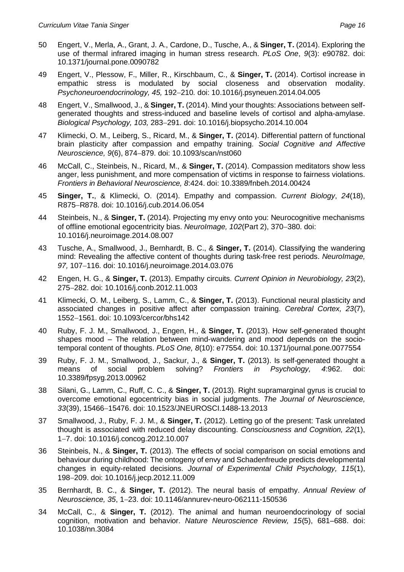- 50 Engert, V., Merla, A., Grant, J. A., Cardone, D., Tusche, A., & **Singer, T.** (2014). Exploring the use of thermal infrared imaging in human stress research. *PLoS One*, *9*(3): e90782. doi: 10.1371/journal.pone.0090782
- 49 Engert, V., Plessow, F., Miller, R., Kirschbaum, C., & **Singer, T.** (2014). Cortisol increase in empathic stress is modulated by social closeness and observation modality. *Psychoneuroendocrinology, 45,* 192210*.* doi: 10.1016/j.psyneuen.2014.04.005
- 48 Engert, V., Smallwood, J., & **Singer, T.** (2014). Mind your thoughts: Associations between selfgenerated thoughts and stress-induced and baseline levels of cortisol and alpha-amylase. *Biological Psychology, 103, 283-291. doi: 10.1016/j.biopsycho.2014.10.004*
- 47 Klimecki, O. M., Leiberg, S., Ricard, M., & **Singer, T.** (2014). Differential pattern of functional brain plasticity after compassion and empathy training. *Social Cognitive and Affective Neuroscience, 9*(6), 874–879, doi: 10.1093/scan/nst060
- 46 McCall, C., Steinbeis, N., Ricard, M., & **Singer, T.** (2014). Compassion meditators show less anger, less punishment, and more compensation of victims in response to fairness violations. *Frontiers in Behavioral Neuroscience, 8*:424. doi: 10.3389/fnbeh.2014.00424
- 45 **Singer, T.**, & Klimecki, O. (2014). Empathy and compassion. *Current Biology*, *24*(18), R875-R878. doi: 10.1016/j.cub.2014.06.054
- 44 Steinbeis, N., & **Singer, T.** (2014). Projecting my envy onto you: Neurocognitive mechanisms of offline emotional egocentricity bias. Neurolmage, 102(Part 2), 370-380, doi: 10.1016/j.neuroimage.2014.08.007
- 43 Tusche, A., Smallwood, J., Bernhardt, B. C., & **Singer, T.** (2014). Classifying the wandering mind: Revealing the affective content of thoughts during task-free rest periods. *NeuroImage,* 97, 107-116. doi: 10.1016/j.neuroimage.2014.03.076
- 42 Engen, H. G., & **Singer, T.** (2013). Empathy circuits. *Current Opinion in Neurobiology, 23*(2), 275282. doi: 10.1016/j.conb.2012.11.003
- 41 Klimecki, O. M., Leiberg, S., Lamm, C., & **Singer, T.** (2013). Functional neural plasticity and associated changes in positive affect after compassion training. *Cerebral Cortex, 23*(7), 1552-1561. doi: 10.1093/cercor/bhs142
- 40 Ruby, F. J. M., Smallwood, J., Engen, H., & **Singer, T.** (2013). How self-generated thought shapes mood – The relation between mind-wandering and mood depends on the sociotemporal content of thoughts. *PLoS One, 8*(10): e77554. doi: 10.1371/journal.pone.0077554
- 39 Ruby, F. J. M., Smallwood, J., Sackur, J., & **Singer, T.** (2013). Is self-generated thought a means of social problem solving? *Frontiers in Psychology, 4*:962. doi: 10.3389/fpsyg.2013.00962
- 38 Silani, G., Lamm, C., Ruff, C. C., & **Singer, T.** (2013). Right supramarginal gyrus is crucial to overcome emotional egocentricity bias in social judgments. *The Journal of Neuroscience, 33*(39), 1546615476. doi: 10.1523/JNEUROSCI.1488-13.2013
- 37 Smallwood, J., Ruby, F. J. M., & **Singer, T.** (2012). Letting go of the present: Task unrelated thought is associated with reduced delay discounting. *Consciousness and Cognition, 22*(1), 17. doi: 10.1016/j.concog.2012.10.007
- 36 Steinbeis, N., & **Singer, T.** (2013). The effects of social comparison on social emotions and behaviour during childhood: The ontogeny of envy and Schadenfreude predicts developmental changes in equity-related decisions. *Journal of Experimental Child Psychology, 115*(1), 198209. doi: 10.1016/j.jecp.2012.11.009
- 35 Bernhardt, B. C., & **Singer, T.** (2012). The neural basis of empathy. *Annual Review of Neuroscience, 35*, 123. doi: 10.1146/annurev-neuro-062111-150536
- 34 McCall, C., & **Singer, T.** (2012). The animal and human neuroendocrinology of social cognition, motivation and behavior. *Nature Neuroscience Review, 15*(5), 681–688. doi: 10.1038/nn.3084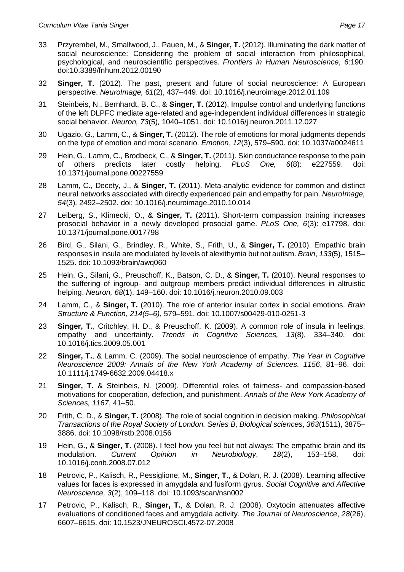- 33 Przyrembel, M., Smallwood, J., Pauen, M., & **Singer, T.** (2012). Illuminating the dark matter of social neuroscience: Considering the problem of social interaction from philosophical, psychological, and neuroscientific perspectives. *Frontiers in Human Neuroscience*, *6*:190. doi:10.3389/fnhum.2012.00190
- 32 **Singer, T.** (2012). The past, present and future of social neuroscience: A European perspective. *NeuroImage, 61*(2), 437–449. doi: 10.1016/j.neuroimage.2012.01.109
- 31 Steinbeis, N., Bernhardt, B. C., & **Singer, T.** (2012). Impulse control and underlying functions of the left DLPFC mediate age-related and age-independent individual differences in strategic social behavior. *Neuron, 73*(5)*,* 1040–1051. doi: 10.1016/j.neuron.2011.12.027
- 30 Ugazio, G., Lamm, C., & **Singer, T.** (2012). The role of emotions for moral judgments depends on the type of emotion and moral scenario. *Emotion*, *12*(3), 579–590. doi: 10.1037/a0024611
- 29 Hein, G., Lamm, C., Brodbeck, C., & **Singer, T.** (2011). Skin conductance response to the pain of others predicts later costly helping. *PLoS One, 6*(8): e227559. doi: 10.1371/journal.pone.00227559
- 28 Lamm, C., Decety, J., & **Singer, T.** (2011). Meta-analytic evidence for common and distinct neural networks associated with directly experienced pain and empathy for pain. *NeuroImage, 54*(3)*,* 2492–2502. doi: 10.1016/j.neuroimage.2010.10.014
- 27 Leiberg, S., Klimecki, O., & **Singer, T.** (2011). Short-term compassion training increases prosocial behavior in a newly developed prosocial game. *PLoS One, 6*(3): e17798. doi: 10.1371/journal.pone.0017798
- 26 Bird, G., Silani, G., Brindley, R., White, S., Frith, U., & **Singer, T.** (2010). Empathic brain responses in insula are modulated by levels of alexithymia but not autism. *Brain*, *133*(5), 1515– 1525. doi: 10.1093/brain/awq060
- 25 Hein, G., Silani, G., Preuschoff, K., Batson, C. D., & **Singer, T.** (2010). Neural responses to the suffering of ingroup- and outgroup members predict individual differences in altruistic helping. *Neuron, 68*(1), 149–160. doi: 10.1016/j.neuron.2010.09.003
- 24 Lamm, C., & **Singer, T.** (2010). The role of anterior insular cortex in social emotions. *Brain Structure & Function*, *214(5–6)*, 579–591. doi: 10.1007/s00429-010-0251-3
- 23 **Singer, T.**, Critchley, H. D., & Preuschoff, K. (2009). A common role of insula in feelings, empathy and uncertainty. *Trends in Cognitive Sciences, 13*(8), 334–340. doi: 10.1016/j.tics.2009.05.001
- 22 **Singer, T.**, & Lamm, C. (2009). The social neuroscience of empathy. *The Year in Cognitive Neuroscience 2009: Annals of the New York Academy of Sciences*, *1156*, 81–96. doi: 10.1111/j.1749-6632.2009.04418.x
- 21 **Singer, T.** & Steinbeis, N. (2009). Differential roles of fairness- and compassion-based motivations for cooperation, defection, and punishment. *Annals of the New York Academy of Sciences, 1167*, 41–50.
- 20 Frith, C. D., & **Singer, T.** (2008). The role of social cognition in decision making. *Philosophical Transactions of the Royal Society of London. Series B, Biological sciences*, *363*(1511), 3875– 3886. doi: 10.1098/rstb.2008.0156
- 19 Hein, G., & **Singer, T.** (2008). I feel how you feel but not always: The empathic brain and its modulation. *Current Opinion in Neurobiology*, *18*(2), 153–158. doi: 10.1016/j.conb.2008.07.012
- 18 Petrovic, P., Kalisch, R., Pessiglione, M., **Singer, T.**, & Dolan, R. J. (2008). Learning affective values for faces is expressed in amygdala and fusiform gyrus. *Social Cognitive and Affective Neuroscience, 3*(2), 109–118. doi: 10.1093/scan/nsn002
- 17 Petrovic, P., Kalisch, R., **Singer, T.**, & Dolan, R. J. (2008). Oxytocin attenuates affective evaluations of conditioned faces and amygdala activity. *The Journal of Neuroscience*, *28*(26), 6607–6615. doi: 10.1523/JNEUROSCI.4572-07.2008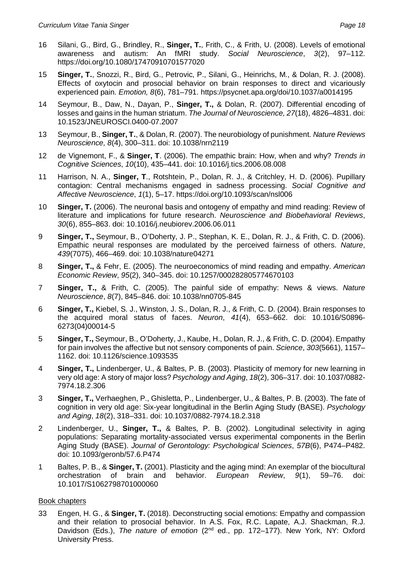- 16 Silani, G., Bird, G., Brindley, R., **Singer, T.**, Frith, C., & Frith, U. (2008). Levels of emotional awareness and autism: An fMRI study. *Social Neuroscience*, *3*(2), 97–112. https://doi.org/10.1080/17470910701577020
- 15 **Singer, T.**, Snozzi, R., Bird, G., Petrovic, P., Silani, G., Heinrichs, M., & Dolan, R. J. (2008). Effects of oxytocin and prosocial behavior on brain responses to direct and vicariously experienced pain. *Emotion, 8*(6), 781–791. https://psycnet.apa.org/doi/10.1037/a0014195
- 14 Seymour, B., Daw, N., Dayan, P., **Singer, T.,** & Dolan, R. (2007). Differential encoding of losses and gains in the human striatum. *The Journal of Neuroscience, 27*(18), 4826–4831. doi: 10.1523/JNEUROSCI.0400-07.2007
- 13 Seymour, B., **Singer, T.**, & Dolan, R. (2007). The neurobiology of punishment. *Nature Reviews Neuroscience, 8*(4), 300–311. doi: 10.1038/nrn2119
- 12 de Vignemont, F., & **Singer, T**. (2006). The empathic brain: How, when and why? *Trends in Cognitive Sciences*, *10*(10), 435–441. doi: 10.1016/j.tics.2006.08.008
- 11 Harrison, N. A., **Singer, T**., Rotshtein, P., Dolan, R. J., & Critchley, H. D. (2006). Pupillary contagion: Central mechanisms engaged in sadness processing. *Social Cognitive and Affective Neuroscience*, *1*(1), 5–17. https://doi.org/10.1093/scan/nsl006
- 10 **Singer, T.** (2006). The neuronal basis and ontogeny of empathy and mind reading: Review of literature and implications for future research. *Neuroscience and Biobehavioral Reviews*, *30*(6), 855–863. doi: 10.1016/j.neubiorev.2006.06.011
- 9 **Singer, T.,** Seymour, B., O'Doherty, J. P., Stephan, K. E., Dolan, R. J., & Frith, C. D. (2006). Empathic neural responses are modulated by the perceived fairness of others. *Nature*, *439*(7075), 466–469. doi: 10.1038/nature04271
- 8 **Singer, T.,** & Fehr, E. (2005). The neuroeconomics of mind reading and empathy. *American Economic Review*, *95*(2), 340–345. doi: 10.1257/000282805774670103
- 7 **Singer, T.,** & Frith, C. (2005). The painful side of empathy: News & views. *Nature Neuroscience*, *8*(7), 845–846. doi: 10.1038/nn0705-845
- 6 **Singer, T.,** Kiebel, S. J., Winston, J. S., Dolan, R. J., & Frith, C. D. (2004). Brain responses to the acquired moral status of faces. *Neuron*, *41*(4), 653–662. doi: 10.1016/S0896- 6273(04)00014-5
- 5 **Singer, T.,** Seymour, B., O'Doherty, J., Kaube, H., Dolan, R. J., & Frith, C. D. (2004). Empathy for pain involves the affective but not sensory components of pain. *Science*, *303*(5661), 1157– 1162. doi: 10.1126/science.1093535
- 4 **Singer, T.,** Lindenberger, U., & Baltes, P. B. (2003). Plasticity of memory for new learning in very old age: A story of major loss? *Psychology and Aging*, *18*(2), 306–317. doi: 10.1037/0882- 7974.18.2.306
- 3 **Singer, T.,** Verhaeghen, P., Ghisletta, P., Lindenberger, U., & Baltes, P. B. (2003). The fate of cognition in very old age: Six-year longitudinal in the Berlin Aging Study (BASE). *Psychology and Aging*, *18*(2), 318–331. doi: 10.1037/0882-7974.18.2.318
- 2 Lindenberger, U., **Singer, T.,** & Baltes, P. B. (2002). Longitudinal selectivity in aging populations: Separating mortality-associated versus experimental components in the Berlin Aging Study (BASE). *Journal of Gerontology: Psychological Sciences*, *57B*(6), P474–P482. doi: 10.1093/geronb/57.6.P474
- 1 Baltes, P. B., & **Singer, T.** (2001). Plasticity and the aging mind: An exemplar of the biocultural orchestration of brain and behavior. *European Review*, *9*(1), 59–76. doi: 10.1017/S1062798701000060

# Book chapters

33 Engen, H. G., & **Singer, T.** (2018). Deconstructing social emotions: Empathy and compassion and their relation to prosocial behavior. In A.S. Fox, R.C. Lapate, A.J. Shackman, R.J. Davidson (Eds.), *The nature of emotion* (2nd ed., pp. 172–177). New York, NY: Oxford University Press.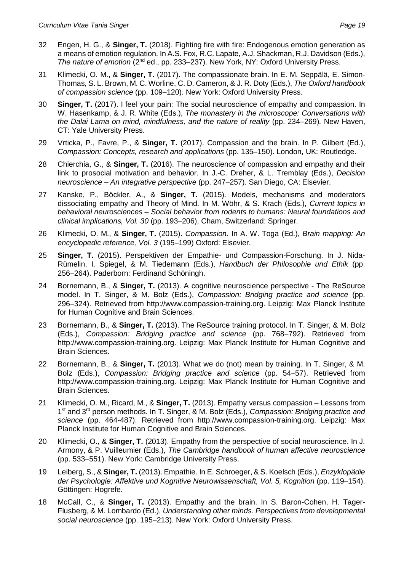- 32 Engen, H. G., & **Singer, T.** (2018). Fighting fire with fire: Endogenous emotion generation as a means of emotion regulation. In A.S. Fox, R.C. Lapate, A.J. Shackman, R.J. Davidson (Eds.), *The nature of emotion* (2nd ed., pp. 233–237). New York, NY: Oxford University Press.
- 31 Klimecki, O. M., & **Singer, T.** (2017). The compassionate brain. In E. M. Seppälä, E. Simon-Thomas, S. L. Brown, M. C. Worline, C. D. Cameron, & J. R. Doty (Eds.), *The Oxford handbook of compassion science* (pp. 109–120). New York: Oxford University Press.
- 30 **Singer, T.** (2017). I feel your pain: The social neuroscience of empathy and compassion. In W. Hasenkamp, & J. R. White (Eds.), *The monastery in the microscope: Conversations with the Dalai Lama on mind, mindfulness, and the nature of reality* (pp. 234–269)*.* New Haven, CT: Yale University Press.
- 29 Vrticka, P., Favre, P., & **Singer, T.** (2017). Compassion and the brain. In P. Gilbert (Ed.), *Compassion: Concepts, research and applications* (pp. 135–150). London, UK: Routledge.
- 28 Chierchia, G., & **Singer, T.** (2016). The neuroscience of compassion and empathy and their link to prosocial motivation and behavior. In J.-C. Dreher, & L. Tremblay (Eds.), *Decision neuroscience – An integrative perspective* (pp. 247–257). San Diego, CA: Elsevier.
- 27 Kanske, P., Böckler, A., & **Singer, T.** (2015). Models, mechanisms and moderators dissociating empathy and Theory of Mind. In M. Wöhr, & S. Krach (Eds.), *Current topics in behavioral neurosciences – Social behavior from rodents to humans: Neural foundations and clinical implications, Vol. 30* (pp. 193206), Cham, Switzerland: Springer.
- 26 Klimecki, O. M., & **Singer, T.** (2015). *Compassion.* In A. W. Toga (Ed.), *Brain mapping: An encyclopedic reference, Vol. 3 (195-199) Oxford: Elsevier.*
- 25 **Singer, T.** (2015). Perspektiven der Empathie- und Compassion-Forschung. In J. Nida-Rümelin, I. Spiegel, & M. Tiedemann (Eds.), *Handbuch der Philosophie und Ethik* (pp. 256-264). Paderborn: Ferdinand Schöningh.
- 24 Bornemann, B., & **Singer, T.** (2013). A cognitive neuroscience perspective The ReSource model. In T. Singer, & M. Bolz (Eds.), *Compassion: Bridging practice and science* (pp. 296-324). Retrieved from http://www.compassion-training.org. Leipzig: Max Planck Institute for Human Cognitive and Brain Sciences.
- 23 Bornemann, B., & **Singer, T.** (2013). The ReSource training protocol. In T. Singer, & M. Bolz (Eds.), *Compassion: Bridging practice and science* (pp. 768–792). Retrieved from http://www.compassion-training.org. Leipzig: Max Planck Institute for Human Cognitive and Brain Sciences.
- 22 Bornemann, B., & **Singer, T.** (2013). What we do (not) mean by training. In T. Singer, & M. Bolz (Eds.), *Compassion: Bridging practice and science* (pp. 54-57). Retrieved from http://www.compassion-training.org. Leipzig: Max Planck Institute for Human Cognitive and Brain Sciences.
- 21 Klimecki, O. M., Ricard, M., & **Singer, T.** (2013). Empathy versus compassion Lessons from 1 st and 3rd person methods. In T. Singer, & M. Bolz (Eds.), *Compassion: Bridging practice and science* (pp. 464-487). Retrieved from http://www.compassion-training.org. Leipzig: Max Planck Institute for Human Cognitive and Brain Sciences.
- 20 Klimecki, O., & **Singer, T.** (2013). Empathy from the perspective of social neuroscience. In J. Armony, & P. Vuilleumier (Eds.), *The Cambridge handbook of human affective neuroscience* (pp. 533–551). New York: Cambridge University Press.
- 19 Leiberg, S., & **Singer, T.** (2013). Empathie. In E. Schroeger, & S. Koelsch (Eds.), *Enzyklopädie* der Psychologie: Affektive und Kognitive Neurowissenschaft, Vol. 5, Kognition (pp. 119–154). Göttingen: Hogrefe.
- 18 McCall, C., & **Singer, T.** (2013). Empathy and the brain. In S. Baron-Cohen, H. Tager-Flusberg, & M. Lombardo (Ed.), *Understanding other minds. Perspectives from developmental* social neuroscience (pp. 195-213). New York: Oxford University Press.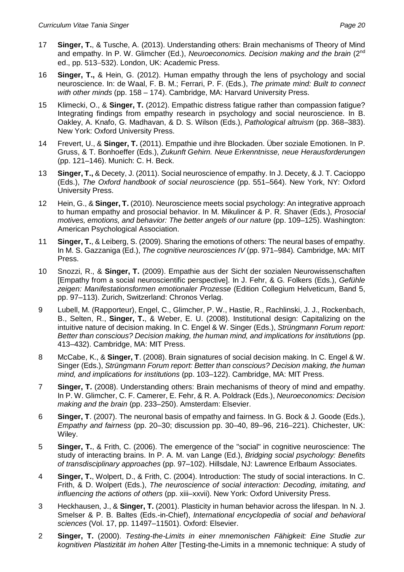- 17 **Singer, T.**, & Tusche, A. (2013). Understanding others: Brain mechanisms of Theory of Mind and empathy. In P. W. Glimcher (Ed.), *Neuroeconomics. Decision making and the brain* (2nd ed., pp. 513-532). London, UK: Academic Press.
- 16 **Singer, T.,** & Hein, G. (2012). Human empathy through the lens of psychology and social neuroscience. In: de Waal, F. B. M.; Ferrari, P. F. (Eds.), *The primate mind: Built to connect with other minds* (pp. 158 – 174). Cambridge, MA: Harvard University Press.
- 15 Klimecki, O., & **Singer, T.** (2012). Empathic distress fatigue rather than compassion fatigue? Integrating findings from empathy research in psychology and social neuroscience. In B. Oakley, A. Knafo, G. Madhavan, & D. S. Wilson (Eds.), *Pathological altruism* (pp. 368–383). New York: Oxford University Press.
- 14 Frevert, U., & **Singer, T.** (2011). Empathie und ihre Blockaden. Über soziale Emotionen. In P. Gruss, & T. Bonhoeffer (Eds.), *Zukunft Gehirn. Neue Erkenntnisse, neue Herausforderungen* (pp. 121–146). Munich: C. H. Beck.
- 13 **Singer, T.,** & Decety, J. (2011). Social neuroscience of empathy. In J. Decety, & J. T. Cacioppo (Eds.), *The Oxford handbook of social neuroscience* (pp. 551–564). New York, NY: Oxford University Press.
- 12 Hein, G., & **Singer, T.** (2010). Neuroscience meets social psychology: An integrative approach to human empathy and prosocial behavior. In M. Mikulincer & P. R. Shaver (Eds.), *Prosocial motives, emotions, and behavior: The better angels of our nature* (pp. 109–125). Washington: American Psychological Association.
- 11 **Singer, T.**, & Leiberg, S. (2009). Sharing the emotions of others: The neural bases of empathy. In M. S. Gazzaniga (Ed.), *The cognitive neurosciences IV* (pp. 971–984)*.* Cambridge, MA: MIT Press.
- 10 Snozzi, R., & **Singer, T.** (2009). Empathie aus der Sicht der sozialen Neurowissenschaften [Empathy from a social neuroscientific perspective]. In J. Fehr, & G. Folkers (Eds.), *Gefühle zeigen: Manifestationsformen emotionaler Prozesse* (Edition Collegium Helveticum, Band 5, pp. 97–113). Zurich, Switzerland: Chronos Verlag.
- 9 Lubell, M. (Rapporteur), Engel, C., Glimcher, P. W., Hastie, R., Rachlinski, J. J., Rockenbach, B., Selten, R., **Singer, T.**, & Weber, E. U. (2008). Institutional design: Capitalizing on the intuitive nature of decision making. In C. Engel & W. Singer (Eds.), *Strüngmann Forum report: Better than conscious? Decision making, the human mind, and implications for institutions* (pp. 413–432). Cambridge, MA: MIT Press.
- 8 McCabe, K., & **Singer, T**. (2008). Brain signatures of social decision making. In C. Engel & W. Singer (Eds.), *Strüngmann Forum report: Better than conscious? Decision making, the human mind, and implications for institutions* (pp. 103–122). Cambridge, MA: MIT Press.
- 7 **Singer, T.** (2008). Understanding others: Brain mechanisms of theory of mind and empathy. In P. W. Glimcher, C. F. Camerer, E. Fehr, & R. A. Poldrack (Eds.), *Neuroeconomics: Decision making and the brain* (pp. 233–250). Amsterdam: Elsevier.
- 6 **Singer, T**. (2007). The neuronal basis of empathy and fairness. In G. Bock & J. Goode (Eds.), *Empathy and fairness* (pp. 20–30; discussion pp. 30–40, 89–96, 216–221). Chichester, UK: Wiley.
- 5 **Singer, T.**, & Frith, C. (2006). The emergence of the "social" in cognitive neuroscience: The study of interacting brains. In P. A. M. van Lange (Ed.), *Bridging social psychology: Benefits of transdisciplinary approaches* (pp. 97–102). Hillsdale, NJ: Lawrence Erlbaum Associates.
- 4 **Singer, T.**, Wolpert, D., & Frith, C. (2004). Introduction: The study of social interactions. In C. Frith, & D. Wolpert (Eds.), *The neuroscience of social interaction: Decoding, imitating, and influencing the actions of others* (pp. xiii–xxvii). New York: Oxford University Press.
- 3 Heckhausen, J., & **Singer, T.** (2001). Plasticity in human behavior across the lifespan. In N. J. Smelser & P. B. Baltes (Eds.-in-Chief), *International encyclopedia of social and behavioral sciences* (Vol. 17, pp. 11497–11501). Oxford: Elsevier.
- 2 **Singer, T.** (2000). *Testing-the-Limits in einer mnemonischen Fähigkeit: Eine Studie zur kognitiven Plastizität im hohen Alter* [Testing-the-Limits in a mnemonic technique: A study of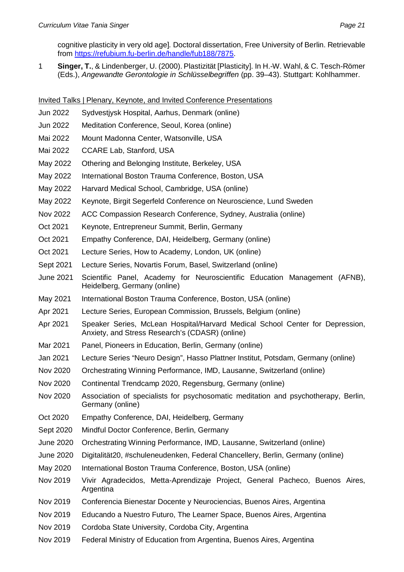cognitive plasticity in very old age]*.* Doctoral dissertation, Free University of Berlin. Retrievable from <https://refubium.fu-berlin.de/handle/fub188/7875>.

1 **Singer, T.**, & Lindenberger, U. (2000). Plastizität [Plasticity]. In H.-W. Wahl, & C. Tesch-Römer (Eds.), *Angewandte Gerontologie in Schlüsselbegriffen* (pp. 39–43). Stuttgart: Kohlhammer.

Invited Talks | Plenary, Keynote, and Invited Conference Presentations

- Jun 2022 Sydvestjysk Hospital, Aarhus, Denmark (online)
- Jun 2022 Meditation Conference, Seoul, Korea (online)
- Mai 2022 Mount Madonna Center, Watsonville, USA
- Mai 2022 CCARE Lab, Stanford, USA
- May 2022 Othering and Belonging Institute, Berkeley, USA
- May 2022 International Boston Trauma Conference, Boston, USA
- May 2022 Harvard Medical School, Cambridge, USA (online)
- May 2022 Keynote, Birgit Segerfeld Conference on Neuroscience, Lund Sweden
- Nov 2022 ACC Compassion Research Conference, Sydney, Australia (online)
- Oct 2021 Keynote, Entrepreneur Summit, Berlin, Germany
- Oct 2021 Empathy Conference, DAI, Heidelberg, Germany (online)
- Oct 2021 Lecture Series, How to Academy, London, UK (online)
- Sept 2021 Lecture Series, Novartis Forum, Basel, Switzerland (online)
- June 2021 Scientific Panel, Academy for Neuroscientific Education Management (AFNB), Heidelberg, Germany (online)
- May 2021 International Boston Trauma Conference, Boston, USA (online)
- Apr 2021 Lecture Series, European Commission, Brussels, Belgium (online)
- Apr 2021 Speaker Series, McLean Hospital/Harvard Medical School Center for Depression, Anxiety, and Stress Research's (CDASR) (online)
- Mar 2021 Panel, Pioneers in Education, Berlin, Germany (online)
- Jan 2021 Lecture Series "Neuro Design", Hasso Plattner Institut, Potsdam, Germany (online)
- Nov 2020 Orchestrating Winning Performance, IMD, Lausanne, Switzerland (online)
- Nov 2020 Continental Trendcamp 2020, Regensburg, Germany (online)
- Nov 2020 Association of specialists for psychosomatic meditation and psychotherapy, Berlin, Germany (online)
- Oct 2020 Empathy Conference, DAI, Heidelberg, Germany
- Sept 2020 Mindful Doctor Conference, Berlin, Germany
- June 2020 Orchestrating Winning Performance, IMD, Lausanne, Switzerland (online)
- June 2020 Digitalität20, #schuleneudenken, Federal Chancellery, Berlin, Germany (online)
- May 2020 International Boston Trauma Conference, Boston, USA (online)
- Nov 2019 Vivir Agradecidos, Metta-Aprendizaje Project, General Pacheco, Buenos Aires, **Argentina**
- Nov 2019 Conferencia Bienestar Docente y Neurociencias, Buenos Aires, Argentina
- Nov 2019 Educando a Nuestro Futuro, The Learner Space, Buenos Aires, Argentina
- Nov 2019 Cordoba State University, Cordoba City, Argentina
- Nov 2019 Federal Ministry of Education from Argentina, Buenos Aires, Argentina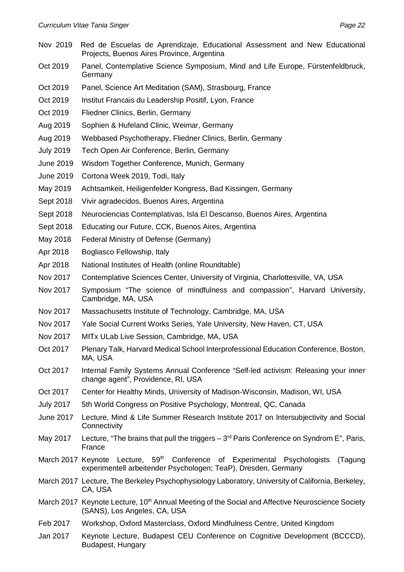- Nov 2019 Red de Escuelas de Aprendizaje, Educational Assessment and New Educational Projects, Buenos Aires Province, Argentina
- Oct 2019 Panel, Contemplative Science Symposium, Mind and Life Europe, Fürstenfeldbruck, Germany
- Oct 2019 Panel, Science Art Meditation (SAM), Strasbourg, France
- Oct 2019 Institut Francais du Leadership Positif, Lyon, France
- Oct 2019 Fliedner Clinics, Berlin, Germany
- Aug 2019 Sophien & Hufeland Clinic, Weimar, Germany
- Aug 2019 Webbased Psychotherapy, Fliedner Clinics, Berlin, Germany
- July 2019 Tech Open Air Conference, Berlin, Germany
- June 2019 Wisdom Together Conference, Munich, Germany
- June 2019 Cortona Week 2019, Todi, Italy
- May 2019 Achtsamkeit, Heiligenfelder Kongress, Bad Kissingen, Germany
- Sept 2018 Vivir agradecidos, Buenos Aires, Argentina
- Sept 2018 Neurociencias Contemplativas, Isla El Descanso, Buenos Aires, Argentina
- Sept 2018 Educating our Future, CCK, Buenos Aires, Argentina
- May 2018 Federal Ministry of Defense (Germany)
- Apr 2018 Bogliasco Fellowship, Italy
- Apr 2018 National Institutes of Health (online Roundtable)
- Nov 2017 Contemplative Sciences Center, University of Virginia, Charlottesville, VA, USA
- Nov 2017 Symposium "The science of mindfulness and compassion", Harvard University, Cambridge, MA, USA
- Nov 2017 Massachusetts Institute of Technology, Cambridge, MA, USA
- Nov 2017 Yale Social Current Works Series, Yale University, New Haven, CT, USA
- Nov 2017 MITx ULab Live Session, Cambridge, MA, USA
- Oct 2017 Plenary Talk, Harvard Medical School Interprofessional Education Conference, Boston, MA, USA
- Oct 2017 Internal Family Systems Annual Conference "Self-led activism: Releasing your inner change agent", Providence, RI, USA
- Oct 2017 Center for Healthy Minds, University of Madison-Wisconsin, Madison, WI, USA
- July 2017 5th World Congress on Positive Psychology, Montreal, QC, Canada
- June 2017 Lecture, Mind & Life Summer Research Institute 2017 on Intersubjectivity and Social **Connectivity**
- May 2017 Lecture, "The brains that pull the triggers  $-3<sup>rd</sup>$  Paris Conference on Syndrom E", Paris, France
- March 2017 Keynote Lecture,  $59<sup>th</sup>$  Conference of Experimental Psychologists (Tagung experimentell arbeitender Psychologen; TeaP), Dresden, Germany
- March 2017 Lecture, The Berkeley Psychophysiology Laboratory, University of California, Berkeley, CA, USA
- March 2017 Keynote Lecture, 10<sup>th</sup> Annual Meeting of the Social and Affective Neuroscience Society (SANS), Los Angeles, CA, USA
- Feb 2017 Workshop, Oxford Masterclass, Oxford Mindfulness Centre, United Kingdom
- Jan 2017 Keynote Lecture, Budapest CEU Conference on Cognitive Development (BCCCD), Budapest, Hungary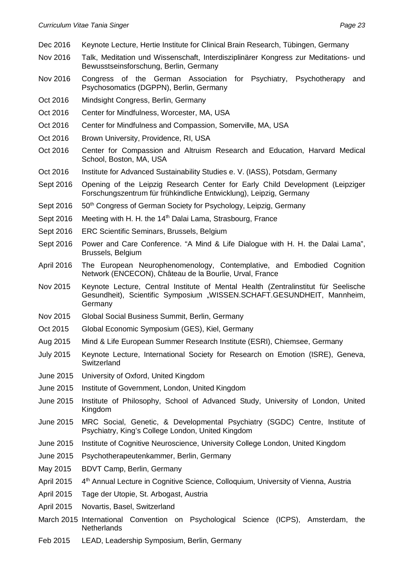- Dec 2016 Keynote Lecture, Hertie Institute for Clinical Brain Research, Tübingen, Germany
- Nov 2016 Talk, Meditation und Wissenschaft, Interdisziplinärer Kongress zur Meditations- und Bewusstseinsforschung, Berlin, Germany
- Nov 2016 Congress of the German Association for Psychiatry, Psychotherapy and Psychosomatics (DGPPN), Berlin, Germany
- Oct 2016 Mindsight Congress, Berlin, Germany
- Oct 2016 Center for Mindfulness, Worcester, MA, USA
- Oct 2016 Center for Mindfulness and Compassion, Somerville, MA, USA
- Oct 2016 Brown University, Providence, RI, USA
- Oct 2016 Center for Compassion and Altruism Research and Education, Harvard Medical School, Boston, MA, USA
- Oct 2016 Institute for Advanced Sustainability Studies e. V. (IASS), Potsdam, Germany
- Sept 2016 Opening of the Leipzig Research Center for Early Child Development (Leipziger Forschungszentrum für frühkindliche Entwicklung), Leipzig, Germany
- Sept 2016 50<sup>th</sup> Congress of German Society for Psychology, Leipzig, Germany
- Sept 2016 Meeting with H. H. the 14<sup>th</sup> Dalai Lama, Strasbourg, France
- Sept 2016 ERC Scientific Seminars, Brussels, Belgium
- Sept 2016 Power and Care Conference. "A Mind & Life Dialogue with H. H. the Dalai Lama", Brussels, Belgium
- April 2016 The European Neurophenomenology, Contemplative, and Embodied Cognition Network (ENCECON), Château de la Bourlie, Urval, France
- Nov 2015 Keynote Lecture, Central Institute of Mental Health (Zentralinstitut für Seelische Gesundheit), Scientific Symposium "WISSEN.SCHAFT.GESUNDHEIT, Mannheim, Germany
- Nov 2015 Global Social Business Summit, Berlin, Germany
- Oct 2015 Global Economic Symposium (GES), Kiel, Germany
- Aug 2015 Mind & Life European Summer Research Institute (ESRI), Chiemsee, Germany
- July 2015 Keynote Lecture, International Society for Research on Emotion (ISRE), Geneva, **Switzerland**
- June 2015 University of Oxford, United Kingdom
- June 2015 Institute of Government, London, United Kingdom
- June 2015 Institute of Philosophy, School of Advanced Study, University of London, United Kingdom
- June 2015 MRC Social, Genetic, & Developmental Psychiatry (SGDC) Centre, Institute of Psychiatry, King's College London, United Kingdom
- June 2015 Institute of Cognitive Neuroscience, University College London, United Kingdom
- June 2015 Psychotherapeutenkammer, Berlin, Germany
- May 2015 BDVT Camp, Berlin, Germany
- April 2015 4<sup>th</sup> Annual Lecture in Cognitive Science, Colloquium, University of Vienna, Austria
- April 2015 Tage der Utopie, St. Arbogast, Austria
- April 2015 Novartis, Basel, Switzerland
- March 2015 International Convention on Psychological Science (ICPS), Amsterdam, the **Netherlands**
- Feb 2015 LEAD, Leadership Symposium, Berlin, Germany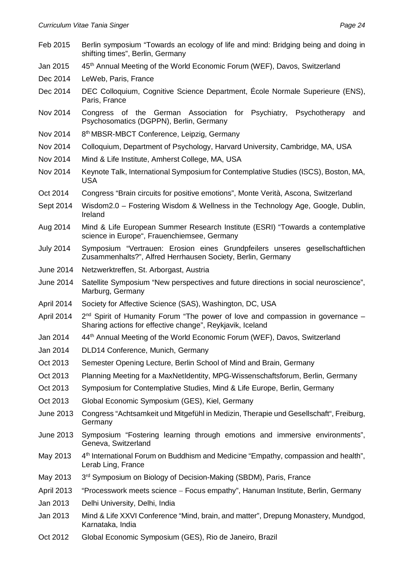| Feb 2015          | Berlin symposium "Towards an ecology of life and mind: Bridging being and doing in<br>shifting times", Berlin, Germany                        |
|-------------------|-----------------------------------------------------------------------------------------------------------------------------------------------|
| Jan 2015          | 45 <sup>th</sup> Annual Meeting of the World Economic Forum (WEF), Davos, Switzerland                                                         |
| Dec 2014          | LeWeb, Paris, France                                                                                                                          |
| Dec 2014          | DEC Colloquium, Cognitive Science Department, École Normale Superieure (ENS),<br>Paris, France                                                |
| Nov 2014          | Congress of the German Association for Psychiatry,<br>Psychotherapy<br>and<br>Psychosomatics (DGPPN), Berlin, Germany                         |
| Nov 2014          | 8 <sup>th</sup> MBSR-MBCT Conference, Leipzig, Germany                                                                                        |
| Nov 2014          | Colloquium, Department of Psychology, Harvard University, Cambridge, MA, USA                                                                  |
| Nov 2014          | Mind & Life Institute, Amherst College, MA, USA                                                                                               |
| Nov 2014          | Keynote Talk, International Symposium for Contemplative Studies (ISCS), Boston, MA,<br><b>USA</b>                                             |
| Oct 2014          | Congress "Brain circuits for positive emotions", Monte Verità, Ascona, Switzerland                                                            |
| Sept 2014         | Wisdom2.0 - Fostering Wisdom & Wellness in the Technology Age, Google, Dublin,<br>Ireland                                                     |
| Aug 2014          | Mind & Life European Summer Research Institute (ESRI) "Towards a contemplative<br>science in Europe", Frauenchiemsee, Germany                 |
| <b>July 2014</b>  | Symposium "Vertrauen: Erosion eines Grundpfeilers unseres gesellschaftlichen<br>Zusammenhalts?", Alfred Herrhausen Society, Berlin, Germany   |
| June 2014         | Netzwerktreffen, St. Arborgast, Austria                                                                                                       |
| June 2014         | Satellite Symposium "New perspectives and future directions in social neuroscience",<br>Marburg, Germany                                      |
| April 2014        | Society for Affective Science (SAS), Washington, DC, USA                                                                                      |
| April 2014        | $2nd$ Spirit of Humanity Forum "The power of love and compassion in governance –<br>Sharing actions for effective change", Reykjavik, Iceland |
| Jan 2014          | 44th Annual Meeting of the World Economic Forum (WEF), Davos, Switzerland                                                                     |
| Jan 2014          | DLD14 Conference, Munich, Germany                                                                                                             |
| Oct 2013          | Semester Opening Lecture, Berlin School of Mind and Brain, Germany                                                                            |
| Oct 2013          | Planning Meeting for a MaxNetIdentity, MPG-Wissenschaftsforum, Berlin, Germany                                                                |
| Oct 2013          | Symposium for Contemplative Studies, Mind & Life Europe, Berlin, Germany                                                                      |
| Oct 2013          | Global Economic Symposium (GES), Kiel, Germany                                                                                                |
| June 2013         | Congress "Achtsamkeit und Mitgefühl in Medizin, Therapie und Gesellschaft", Freiburg,<br>Germany                                              |
| June 2013         | Symposium "Fostering learning through emotions and immersive environments",<br>Geneva, Switzerland                                            |
| May 2013          | 4 <sup>th</sup> International Forum on Buddhism and Medicine "Empathy, compassion and health",<br>Lerab Ling, France                          |
| May 2013          | 3 <sup>rd</sup> Symposium on Biology of Decision-Making (SBDM), Paris, France                                                                 |
| <b>April 2013</b> | "Processwork meets science - Focus empathy", Hanuman Institute, Berlin, Germany                                                               |
| Jan 2013          | Delhi University, Delhi, India                                                                                                                |
| Jan 2013          | Mind & Life XXVI Conference "Mind, brain, and matter", Drepung Monastery, Mundgod,<br>Karnataka, India                                        |
| Oct 2012          | Global Economic Symposium (GES), Rio de Janeiro, Brazil                                                                                       |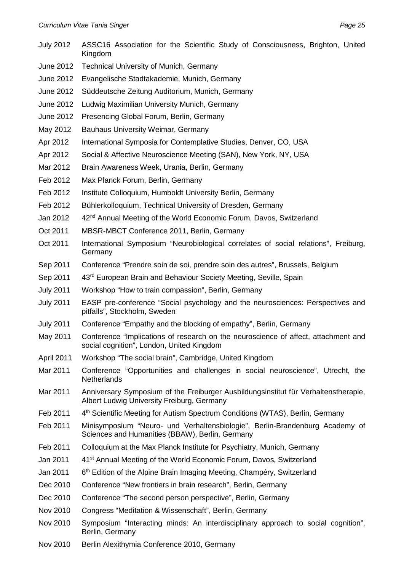- July 2012 ASSC16 Association for the Scientific Study of Consciousness, Brighton, United Kingdom
- June 2012 Technical University of Munich, Germany
- June 2012 Evangelische Stadtakademie, Munich, Germany
- June 2012 Süddeutsche Zeitung Auditorium, Munich, Germany
- June 2012 Ludwig Maximilian University Munich, Germany
- June 2012 Presencing Global Forum, Berlin, Germany
- May 2012 Bauhaus University Weimar, Germany
- Apr 2012 International Symposia for Contemplative Studies, Denver, CO, USA
- Apr 2012 Social & Affective Neuroscience Meeting (SAN), New York, NY, USA
- Mar 2012 Brain Awareness Week, Urania, Berlin, Germany
- Feb 2012 Max Planck Forum, Berlin, Germany
- Feb 2012 Institute Colloquium, Humboldt University Berlin, Germany
- Feb 2012 Bühlerkolloquium, Technical University of Dresden, Germany
- Jan 2012 42<sup>nd</sup> Annual Meeting of the World Economic Forum, Davos, Switzerland
- Oct 2011 MBSR-MBCT Conference 2011, Berlin, Germany
- Oct 2011 International Symposium "Neurobiological correlates of social relations", Freiburg, Germany
- Sep 2011 Conference "Prendre soin de soi, prendre soin des autres", Brussels, Belgium
- Sep 2011 43<sup>rd</sup> European Brain and Behaviour Society Meeting, Seville, Spain
- July 2011 Workshop "How to train compassion", Berlin, Germany
- July 2011 EASP pre-conference "Social psychology and the neurosciences: Perspectives and pitfalls", Stockholm, Sweden
- July 2011 Conference "Empathy and the blocking of empathy", Berlin, Germany
- May 2011 Conference "Implications of research on the neuroscience of affect, attachment and social cognition", London, United Kingdom
- April 2011 Workshop "The social brain", Cambridge, United Kingdom
- Mar 2011 Conference "Opportunities and challenges in social neuroscience", Utrecht, the Netherlands
- Mar 2011 Anniversary Symposium of the Freiburger Ausbildungsinstitut für Verhaltenstherapie, Albert Ludwig University Freiburg, Germany
- Feb 2011 4<sup>th</sup> Scientific Meeting for Autism Spectrum Conditions (WTAS), Berlin, Germany
- Feb 2011 Minisymposium "Neuro- und Verhaltensbiologie", Berlin-Brandenburg Academy of Sciences and Humanities (BBAW), Berlin, Germany
- Feb 2011 Colloquium at the Max Planck Institute for Psychiatry, Munich, Germany
- Jan 2011 41<sup>st</sup> Annual Meeting of the World Economic Forum, Davos, Switzerland
- Jan 2011 6<sup>th</sup> Edition of the Alpine Brain Imaging Meeting, Champéry, Switzerland
- Dec 2010 Conference "New frontiers in brain research", Berlin, Germany
- Dec 2010 Conference "The second person perspective", Berlin, Germany
- Nov 2010 Congress "Meditation & Wissenschaft", Berlin, Germany
- Nov 2010 Symposium "Interacting minds: An interdisciplinary approach to social cognition", Berlin, Germany
- Nov 2010 Berlin Alexithymia Conference 2010, Germany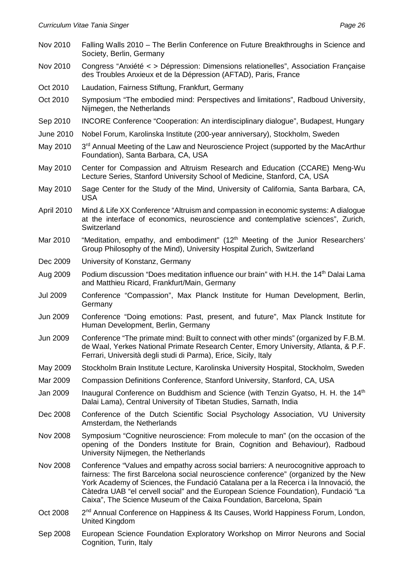| Nov 2010          | Falling Walls 2010 - The Berlin Conference on Future Breakthroughs in Science and<br>Society, Berlin, Germany                                                                                                                                                                                                                                                                                                                    |
|-------------------|----------------------------------------------------------------------------------------------------------------------------------------------------------------------------------------------------------------------------------------------------------------------------------------------------------------------------------------------------------------------------------------------------------------------------------|
| Nov 2010          | Congress "Anxiété < > Dépression: Dimensions relationelles", Association Française<br>des Troubles Anxieux et de la Dépression (AFTAD), Paris, France                                                                                                                                                                                                                                                                            |
| Oct 2010          | Laudation, Fairness Stiftung, Frankfurt, Germany                                                                                                                                                                                                                                                                                                                                                                                 |
| Oct 2010          | Symposium "The embodied mind: Perspectives and limitations", Radboud University,<br>Nijmegen, the Netherlands                                                                                                                                                                                                                                                                                                                    |
| Sep 2010          | INCORE Conference "Cooperation: An interdisciplinary dialogue", Budapest, Hungary                                                                                                                                                                                                                                                                                                                                                |
| June 2010         | Nobel Forum, Karolinska Institute (200-year anniversary), Stockholm, Sweden                                                                                                                                                                                                                                                                                                                                                      |
| May 2010          | 3 <sup>rd</sup> Annual Meeting of the Law and Neuroscience Project (supported by the MacArthur<br>Foundation), Santa Barbara, CA, USA                                                                                                                                                                                                                                                                                            |
| May 2010          | Center for Compassion and Altruism Research and Education (CCARE) Meng-Wu<br>Lecture Series, Stanford University School of Medicine, Stanford, CA, USA                                                                                                                                                                                                                                                                           |
| May 2010          | Sage Center for the Study of the Mind, University of California, Santa Barbara, CA,<br><b>USA</b>                                                                                                                                                                                                                                                                                                                                |
| <b>April 2010</b> | Mind & Life XX Conference "Altruism and compassion in economic systems: A dialogue<br>at the interface of economics, neuroscience and contemplative sciences", Zurich,<br>Switzerland                                                                                                                                                                                                                                            |
| Mar 2010          | "Meditation, empathy, and embodiment" (12 <sup>th</sup> Meeting of the Junior Researchers'<br>Group Philosophy of the Mind), University Hospital Zurich, Switzerland                                                                                                                                                                                                                                                             |
| Dec 2009          | University of Konstanz, Germany                                                                                                                                                                                                                                                                                                                                                                                                  |
| Aug 2009          | Podium discussion "Does meditation influence our brain" with H.H. the 14 <sup>th</sup> Dalai Lama<br>and Matthieu Ricard, Frankfurt/Main, Germany                                                                                                                                                                                                                                                                                |
| <b>Jul 2009</b>   | Conference "Compassion", Max Planck Institute for Human Development, Berlin,<br>Germany                                                                                                                                                                                                                                                                                                                                          |
| Jun 2009          | Conference "Doing emotions: Past, present, and future", Max Planck Institute for<br>Human Development, Berlin, Germany                                                                                                                                                                                                                                                                                                           |
| Jun 2009          | Conference "The primate mind: Built to connect with other minds" (organized by F.B.M.<br>de Waal, Yerkes National Primate Research Center, Emory University, Atlanta, & P.F.<br>Ferrari, Università degli studi di Parma), Erice, Sicily, Italy                                                                                                                                                                                  |
| May 2009          | Stockholm Brain Institute Lecture, Karolinska University Hospital, Stockholm, Sweden                                                                                                                                                                                                                                                                                                                                             |
| Mar 2009          | Compassion Definitions Conference, Stanford University, Stanford, CA, USA                                                                                                                                                                                                                                                                                                                                                        |
| Jan 2009          | Inaugural Conference on Buddhism and Science (with Tenzin Gyatso, H. H. the 14 <sup>th</sup><br>Dalai Lama), Central University of Tibetan Studies, Sarnath, India                                                                                                                                                                                                                                                               |
| Dec 2008          | Conference of the Dutch Scientific Social Psychology Association, VU University<br>Amsterdam, the Netherlands                                                                                                                                                                                                                                                                                                                    |
| <b>Nov 2008</b>   | Symposium "Cognitive neuroscience: From molecule to man" (on the occasion of the<br>opening of the Donders Institute for Brain, Cognition and Behaviour), Radboud<br>University Nijmegen, the Netherlands                                                                                                                                                                                                                        |
| <b>Nov 2008</b>   | Conference "Values and empathy across social barriers: A neurocognitive approach to<br>fairness: The first Barcelona social neuroscience conference" (organized by the New<br>York Academy of Sciences, the Fundació Catalana per a la Recerca i la Innovació, the<br>Càtedra UAB "el cervell social" and the European Science Foundation), Fundació "La<br>Caixa", The Science Museum of the Caixa Foundation, Barcelona, Spain |
| Oct 2008          | 2 <sup>nd</sup> Annual Conference on Happiness & Its Causes, World Happiness Forum, London,<br>United Kingdom                                                                                                                                                                                                                                                                                                                    |
| Sep 2008          | European Science Foundation Exploratory Workshop on Mirror Neurons and Social<br>Cognition, Turin, Italy                                                                                                                                                                                                                                                                                                                         |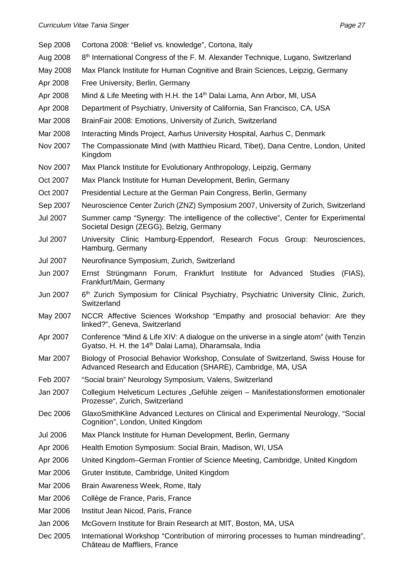| Sep 2008        | Cortona 2008: "Belief vs. knowledge", Cortona, Italy                                                                                                        |
|-----------------|-------------------------------------------------------------------------------------------------------------------------------------------------------------|
| Aug 2008        | 8 <sup>th</sup> International Congress of the F. M. Alexander Technique, Lugano, Switzerland                                                                |
| May 2008        | Max Planck Institute for Human Cognitive and Brain Sciences, Leipzig, Germany                                                                               |
| Apr 2008        | Free University, Berlin, Germany                                                                                                                            |
| Apr 2008        | Mind & Life Meeting with H.H. the 14 <sup>th</sup> Dalai Lama, Ann Arbor, MI, USA                                                                           |
| Apr 2008        | Department of Psychiatry, University of California, San Francisco, CA, USA                                                                                  |
| Mar 2008        | BrainFair 2008: Emotions, University of Zurich, Switzerland                                                                                                 |
| Mar 2008        | Interacting Minds Project, Aarhus University Hospital, Aarhus C, Denmark                                                                                    |
| Nov 2007        | The Compassionate Mind (with Matthieu Ricard, Tibet), Dana Centre, London, United<br>Kingdom                                                                |
| Nov 2007        | Max Planck Institute for Evolutionary Anthropology, Leipzig, Germany                                                                                        |
| Oct 2007        | Max Planck Institute for Human Development, Berlin, Germany                                                                                                 |
| Oct 2007        | Presidential Lecture at the German Pain Congress, Berlin, Germany                                                                                           |
| Sep 2007        | Neuroscience Center Zurich (ZNZ) Symposium 2007, University of Zurich, Switzerland                                                                          |
| <b>Jul 2007</b> | Summer camp "Synergy: The intelligence of the collective", Center for Experimental<br>Societal Design (ZEGG), Belzig, Germany                               |
| <b>Jul 2007</b> | University Clinic Hamburg-Eppendorf, Research Focus Group: Neurosciences,<br>Hamburg, Germany                                                               |
| <b>Jul 2007</b> | Neurofinance Symposium, Zurich, Switzerland                                                                                                                 |
| Jun 2007        | Ernst Strüngmann Forum, Frankfurt Institute for Advanced Studies<br>(FIAS),<br>Frankfurt/Main, Germany                                                      |
| Jun 2007        | 6 <sup>th</sup> Zurich Symposium for Clinical Psychiatry, Psychiatric University Clinic, Zurich,<br>Switzerland                                             |
| May 2007        | NCCR Affective Sciences Workshop "Empathy and prosocial behavior: Are they<br>linked?", Geneva, Switzerland                                                 |
| Apr 2007        | Conference "Mind & Life XIV: A dialogue on the universe in a single atom" (with Tenzin<br>Gyatso, H. H. the 14 <sup>th</sup> Dalai Lama), Dharamsala, India |
| Mar 2007        | Biology of Prosocial Behavior Workshop, Consulate of Switzerland, Swiss House for<br>Advanced Research and Education (SHARE), Cambridge, MA, USA            |
| Feb 2007        | "Social brain" Neurology Symposium, Valens, Switzerland                                                                                                     |
| Jan 2007        | Collegium Helveticum Lectures "Gefühle zeigen - Manifestationsformen emotionaler<br>Prozesse", Zurich, Switzerland                                          |
| Dec 2006        | GlaxoSmithKline Advanced Lectures on Clinical and Experimental Neurology, "Social<br>Cognition", London, United Kingdom                                     |
| <b>Jul 2006</b> | Max Planck Institute for Human Development, Berlin, Germany                                                                                                 |
| Apr 2006        | Health Emotion Symposium: Social Brain, Madison, WI, USA                                                                                                    |
| Apr 2006        | United Kingdom–German Frontier of Science Meeting, Cambridge, United Kingdom                                                                                |
| Mar 2006        | Gruter Institute, Cambridge, United Kingdom                                                                                                                 |
| Mar 2006        | Brain Awareness Week, Rome, Italy                                                                                                                           |
| Mar 2006        | Collège de France, Paris, France                                                                                                                            |
| Mar 2006        | Institut Jean Nicod, Paris, France                                                                                                                          |
| Jan 2006        | McGovern Institute for Brain Research at MIT, Boston, MA, USA                                                                                               |
| Dec 2005        | International Workshop "Contribution of mirroring processes to human mindreading",<br>Château de Maffliers, France                                          |